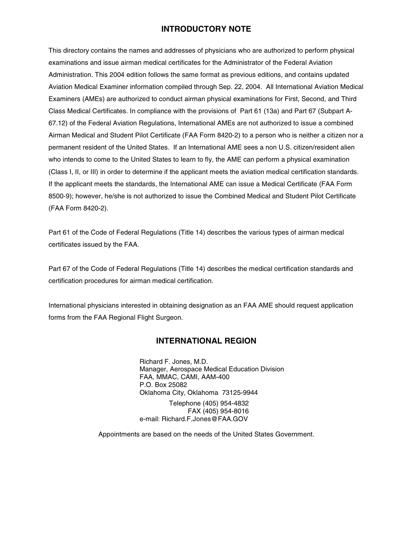# **INTRODUCTORY NOTE**

This directory contains the names and addresses of physicians who are authorized to perform physical examinations and issue airman medical certificates for the Administrator of the Federal Aviation Administration. This 2004 edition follows the same format as previous editions, and contains updated Aviation Medical Examiner information compiled through Sep. 22, 2004. All International Aviation Medical Examiners (AMEs) are authorized to conduct airman physical examinations for First, Second, and Third Class Medical Certificates. In compliance with the provisions of Part 61 (13a) and Part 67 (Subpart A-67.12) of the Federal Aviation Regulations, International AMEs are not authorized to issue a combined Airman Medical and Student Pilot Certificate (FAA Form 8420-2) to a person who is neither a citizen nor a permanent resident of the United States. If an International AME sees a non U.S. citizen/resident alien who intends to come to the United States to learn to fly, the AME can perform a physical examination (Class I, II, or III) in order to determine if the applicant meets the aviation medical certification standards. If the applicant meets the standards, the International AME can issue a Medical Certificate (FAA Form 8500-9); however, he/she is not authorized to issue the Combined Medical and Student Pilot Certificate (FAA Form 8420-2).

Part 61 of the Code of Federal Regulations (Title 14) describes the various types of airman medical certificates issued by the FAA.

Part 67 of the Code of Federal Regulations (Title 14) describes the medical certification standards and certification procedures for airman medical certification.

International physicians interested in obtaining designation as an FAA AME should request application forms from the FAA Regional Flight Surgeon.

## **INTERNATIONAL REGION**

Richard F. Jones, M.D. Manager, Aerospace Medical Education Division FAA, MMAC, CAMI, AAM-400 P.O. Box 25082 Oklahoma City, Oklahoma 73125-9944 Telephone (405) 954-4832 FAX (405) 954-8016 e-mail: Richard.F.Jones@FAA.GOV

Appointments are based on the needs of the United States Government.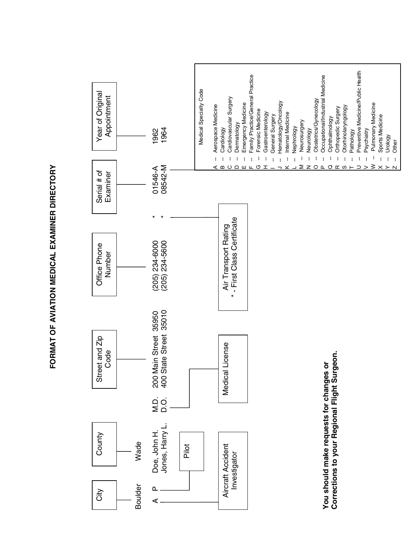

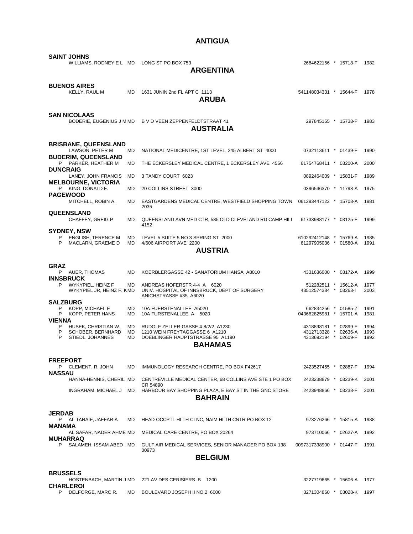# **ANTIGUA**

| <b>SAINT JOHNS</b><br>WILLIAMS, RODNEY E L MD                                                                                                                     |                                           | LONG ST PO BOX 753<br><b>ARGENTINA</b>                                                                                                                        | 2684622156 * 15718-F                                                                                                  |  |  | 1982                                 |  |
|-------------------------------------------------------------------------------------------------------------------------------------------------------------------|-------------------------------------------|---------------------------------------------------------------------------------------------------------------------------------------------------------------|-----------------------------------------------------------------------------------------------------------------------|--|--|--------------------------------------|--|
| <b>BUENOS AIRES</b><br><b>KELLY, RAUL M</b>                                                                                                                       | MD                                        | 1631 JUNIN 2nd FL APT C 1113<br><b>ARUBA</b>                                                                                                                  | 541148034331 * 15644-F                                                                                                |  |  | 1978                                 |  |
| <b>SAN NICOLAAS</b>                                                                                                                                               |                                           | BODERIE, EUGENIUS J M MD B V D VEEN ZEPPENFELDTSTRAAT 41<br><b>AUSTRALIA</b>                                                                                  | 297845155 * 15738-F                                                                                                   |  |  | 1983                                 |  |
| <b>BRISBANE, QUEENSLAND</b><br>LAWSON, PETER M                                                                                                                    | MD                                        | NATIONAL MEDICENTRE, 1ST LEVEL, 245 ALBERT ST 4000                                                                                                            | 0732113611 * 01439-F                                                                                                  |  |  | 1990                                 |  |
| <b>BUDERIM, QUEENSLAND</b><br>P PARKER, HEATHER M                                                                                                                 | MD                                        | THE ECKERSLEY MEDICAL CENTRE, 1 ECKERSLEY AVE 4556                                                                                                            | 61754768411 * 03200-A                                                                                                 |  |  | 2000                                 |  |
| <b>DUNCRAIG</b><br>LANEY, JOHN FRANCIS                                                                                                                            | MD                                        | 3 TANDY COURT 6023                                                                                                                                            | 0892464009 * 15831-F                                                                                                  |  |  | 1989                                 |  |
| <b>MELBOURNE, VICTORIA</b><br>P KING, DONALD F.                                                                                                                   | <b>MD</b>                                 | 20 COLLINS STREET 3000                                                                                                                                        | 0396546370 * 11798-A                                                                                                  |  |  | 1975                                 |  |
| <b>PAGEWOOD</b><br>MITCHELL, ROBIN A.                                                                                                                             | <b>MD</b>                                 | EASTGARDENS MEDICAL CENTRE, WESTFIELD SHOPPING TOWN  061293447122 * 15708-A<br>2035                                                                           |                                                                                                                       |  |  | 1981                                 |  |
| <b>QUEENSLAND</b><br>CHAFFEY, GREIG P                                                                                                                             | <b>MD</b>                                 | QUEENSLAND AVN MED CTR, 585 OLD CLEVELAND RD CAMP HILL<br>4152                                                                                                | 61733988177 * 03125-F                                                                                                 |  |  | 1999                                 |  |
| <b>SYDNEY, NSW</b><br><b>ENGLISH, TERENCE M</b><br>P<br>P<br>MACLARN, GRAEME D                                                                                    | <b>MD</b><br>MD.                          | LEVEL 5 SUITE 5 NO 3 SPRING ST 2000<br>4/606 AIRPORT AVE 2200<br><b>AUSTRIA</b>                                                                               | 610292412148 * 15769-A<br>61297905036 * 01580-A                                                                       |  |  | 1985<br>1991                         |  |
|                                                                                                                                                                   |                                           |                                                                                                                                                               |                                                                                                                       |  |  |                                      |  |
| <b>GRAZ</b><br>P AUER, THOMAS                                                                                                                                     | <b>MD</b>                                 | KOERBLERGASSE 42 - SANATORIUM HANSA A8010                                                                                                                     | 4331636000 * 03172-A                                                                                                  |  |  | 1999                                 |  |
| <b>INNSBRUCK</b><br>P<br>WYKYPIEL, HEINZ F<br>WYKYPIEL JR, HEINZ F. KMD                                                                                           | MD                                        | ANDREAS HOFERSTR 4-4 A 6020<br>UNIV. HOSPITAL OF INNSBRUCK, DEPT OF SURGERY<br>ANICHSTRASSE #35 A6020                                                         | 512282511 * 15612-A<br>43512574384 * 03263-I                                                                          |  |  | 1977<br>2003                         |  |
| <b>SALZBURG</b><br>P<br>KOPP, MICHAEL F<br>KOPP, PETER HANS<br>P.<br><b>VIENNA</b><br>P<br>HUSEK, CHRISTIAN W.<br>P<br>SCHOBER, BERNHARD<br>P<br>STIEDL, JOHANNES | MD<br><b>MD</b><br>MD<br><b>MD</b><br>MD. | 10A FUERSTENALLEE A5020<br>10A FURSTENALLEE A 5020<br>RUDOLF ZELLER-GASSE 4-8/2/2 A1230<br>1210 WEIN FREYTAGGASSE 6 A1210<br>DOEBLINGER HAUPTSTRASSE 95 A1190 | 662834256 * 01585-Z<br>043662825981 * 15701-A<br>4318898181 * 02899-F<br>4312713328 * 02636-A<br>4313692194 * 02609-F |  |  | 1991<br>1981<br>1994<br>1993<br>1992 |  |
|                                                                                                                                                                   |                                           | <b>BAHAMAS</b>                                                                                                                                                |                                                                                                                       |  |  |                                      |  |
| <b>FREEPORT</b><br>P CLEMENT, R. JOHN<br><b>NASSAU</b>                                                                                                            | MD                                        | IMMUNOLOGY RESEARCH CENTRE, PO BOX F42617                                                                                                                     | 2423527455 * 02887-F                                                                                                  |  |  | 1994                                 |  |
| HANNA-HENNIS, CHERIL MD                                                                                                                                           |                                           | CENTREVILLE MEDICAL CENTER, 68 COLLINS AVE STE 1 PO BOX<br>CR 54890                                                                                           | 2423238879 * 03239-K                                                                                                  |  |  | 2001                                 |  |
| INGRAHAM, MICHAEL J MD                                                                                                                                            |                                           | HARBOUR BAY SHOPPING PLAZA, E BAY ST IN THE GNC STORE<br><b>BAHRAIN</b>                                                                                       | 2423948866 * 03238-F                                                                                                  |  |  | 2001                                 |  |
| <b>JERDAB</b><br>P AL TARAIF, JAFFAR A                                                                                                                            | MD                                        | HEAD OCCPTL HLTH CLNC, NAIM HLTH CNTR PO BOX 12                                                                                                               | 973276266 * 15815-A                                                                                                   |  |  | 1988                                 |  |
| MANAMA<br>AL SAFAR, NADER AHME MD                                                                                                                                 |                                           | MEDICAL CARE CENTRE, PO BOX 20264                                                                                                                             | 973710066 * 02627-A                                                                                                   |  |  | 1992                                 |  |
| <b>MUHARRAQ</b><br>SALAMEH, ISSAM ABED MD<br>P                                                                                                                    |                                           | GULF AIR MEDICAL SERVICES, SENIOR MANAGER PO BOX 138<br>00973                                                                                                 | 0097317338900 * 01447-F                                                                                               |  |  | 1991                                 |  |
| <b>BELGIUM</b>                                                                                                                                                    |                                           |                                                                                                                                                               |                                                                                                                       |  |  |                                      |  |
| <b>BRUSSELS</b><br><b>CHARLEROI</b>                                                                                                                               |                                           | HOSTENBACH, MARTIN J MD 221 AV DES CERISIERS B 1200                                                                                                           | 3227719665 * 15606-A 1977                                                                                             |  |  |                                      |  |

P DELFORGE, MARC R. MD BOULEVARD JOSEPH II NO.2 6000 3271304860 \* 03028-K 1997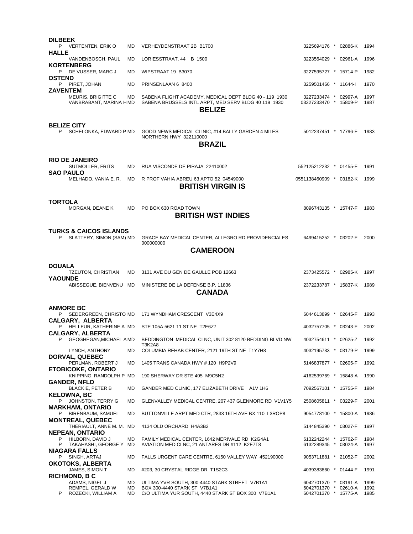| <b>DILBEEK</b>  | P VERTENTEN, ERIK O                                                  | MD              | VERHEYDENSTRAAT 2B B1700                                                                                                             | 3225694176 * 02886-K                                                 |  | 1994                 |
|-----------------|----------------------------------------------------------------------|-----------------|--------------------------------------------------------------------------------------------------------------------------------------|----------------------------------------------------------------------|--|----------------------|
| <b>HALLE</b>    |                                                                      |                 |                                                                                                                                      |                                                                      |  |                      |
|                 | VANDENBOSCH, PAUL<br><b>KORTENBERG</b>                               | <b>MD</b>       | LORIESSTRAAT, 44 B 1500                                                                                                              | 3223564029 * 02961-A                                                 |  | 1996                 |
| <b>OSTEND</b>   | P DE VUSSER, MARC J                                                  | <b>MD</b>       | WIPSTRAAT 19 B3070                                                                                                                   | 3227595727 * 15714-P                                                 |  | 1982                 |
| <b>ZAVENTEM</b> | P PIRET, JOHAN                                                       | <b>MD</b>       | PRINSENLAAN 6 8400                                                                                                                   | 3259501466 * 11644-I                                                 |  | 1970                 |
|                 | MEURIS, BRIGITTE C<br>VANBRABANT, MARINA H MD                        | MD.             | SABENA FLIGHT ACADEMY, MEDICAL DEPT BLDG 40 - 119 1930<br>SABENA BRUSSELS INTL ARPT, MED SERV BLDG 40 119 1930<br><b>BELIZE</b>      | 3227233474 * 02997-A<br>03227233470 * 15809-P                        |  | 1997<br>1987         |
| P.              | <b>BELIZE CITY</b><br>SCHELONKA, EDWARD P MD                         |                 | GOOD NEWS MEDICAL CLINIC, #14 BALLY GARDEN 4 MILES<br>NORTHERN HWY 322110000<br><b>BRAZIL</b>                                        | 5012237451 * 17796-F                                                 |  | 1983                 |
|                 | <b>RIO DE JANEIRO</b>                                                |                 |                                                                                                                                      |                                                                      |  |                      |
|                 | SUTMOLLER, FRITS<br><b>SAO PAULO</b>                                 | MD.             | RUA VISCONDE DE PIRAJA 22410002                                                                                                      | 552125212232 * 01455-F                                               |  | 1991                 |
|                 | MELHADO, VANIA E. R.                                                 | MD              | R PROF VAHIA ABREU 63 APTO 52 04549000<br><b>BRITISH VIRGIN IS</b>                                                                   | 0551138460909 * 03182-K                                              |  | 1999                 |
| TORTOLA         | MORGAN, DEANE K                                                      | MD              | PO BOX 630 ROAD TOWN<br><b>BRITISH WST INDIES</b>                                                                                    | 8096743135 * 15747-F                                                 |  | 1983                 |
| P.              | <b>TURKS &amp; CAICOS ISLANDS</b><br>SLATTERY, SIMON (SAM) MD        |                 | GRACE BAY MEDICAL CENTER, ALLEGRO RD PROVIDENCIALES<br>000000000                                                                     | 6499415252 * 03202-F                                                 |  | 2000                 |
|                 |                                                                      |                 | <b>CAMEROON</b>                                                                                                                      |                                                                      |  |                      |
| <b>DOUALA</b>   |                                                                      |                 |                                                                                                                                      |                                                                      |  |                      |
| <b>YAOUNDE</b>  | <b>TZEUTON, CHRISTIAN</b>                                            | <b>MD</b>       | 3131 AVE DU GEN DE GAULLE POB 12663                                                                                                  | 2373425572 * 02985-K                                                 |  | 1997                 |
|                 | ABISSEGUE, BIENVENU MD                                               |                 | MINISTERE DE LA DEFENSE B.P. 11836<br><b>CANADA</b>                                                                                  | 2372233787 * 15837-K                                                 |  | 1989                 |
|                 | <b>ANMORE BC</b>                                                     |                 |                                                                                                                                      |                                                                      |  |                      |
|                 | P SEDERGREEN, CHRISTO MD<br><b>CALGARY, ALBERTA</b>                  |                 | 171 WYNDHAM CRESCENT V3E4X9                                                                                                          | 6044613899 * 02645-F                                                 |  | 1993                 |
|                 | P HELLEUR, KATHERINE A MD<br><b>CALGARY, ALBERTA</b>                 |                 | STE 105A 5621 11 ST NE T2E6Z7                                                                                                        | 4032757705 * 03243-F                                                 |  | 2002                 |
|                 | P GEOGHEGAN, MICHAEL A MD                                            |                 | BEDDINGTON MEDICAL CLNC, UNIT 302 8120 BEDDING BLVD NW<br>T3K2A8                                                                     | 4032754611 * 02625-Z 1992                                            |  |                      |
|                 | LYNCH, ANTHONY<br>DORVAL, QUEBEC                                     | MD              | COLUMBIA REHAB CENTER, 2121 19TH ST NE T1Y7H8                                                                                        | 4032195733 * 03179-P                                                 |  | 1999                 |
|                 | PERLMAN, ROBERT J<br><b>ETOBICOKE, ONTARIO</b>                       | MD              | 1405 TRANS CANADA HWY # 120 H9P2V9                                                                                                   | 5146837877 * 02605-F                                                 |  | 1992                 |
|                 | KNIPPING, RANDOLPH P MD                                              |                 | 190 SHERWAY DR STE 405 M9C5N2                                                                                                        | 4162539769 * 15848-A                                                 |  | 1990                 |
|                 | <b>GANDER, NFLD</b><br><b>BLACKIE, PETER B</b>                       | MD              | GANDER MED CLINIC, 177 ELIZABETH DRIVE A1V 1H6                                                                                       | 7092567101 * 15755-F                                                 |  | 1984                 |
| P.              | <b>KELOWNA, BC</b><br>JOHNSTON, TERRY G                              | MD              | GLENVALLEY MEDICAL CENTRE, 207 437 GLENMORE RD V1V1Y5                                                                                | 2508605811 * 03229-F                                                 |  | 2001                 |
| P.              | <b>MARKHAM, ONTARIO</b><br>BIRENBAUM, SAMUEL                         | MD              | BUTTONVILLE ARPT MED CTR, 2833 16TH AVE BX 110 L3ROP8                                                                                | 9054778100 * 15800-A                                                 |  | 1986                 |
|                 | <b>MONTREAL, QUEBEC</b><br>THERIAULT, ANNE M. M. MD                  |                 | 4134 OLD ORCHARD H4A3B2                                                                                                              | 5144845390 * 03027-F                                                 |  | 1997                 |
| P<br>P          | <b>NEPEAN, ONTARIO</b><br>HILBORN, DAVID J<br>TAKAHASHI, GEORGE Y MD | MD              | FAMILY MEDICAL CENTER, 1642 MERIVALE RD K2G4A1<br>AVIATION MED CLNC, 21 ANTARES DR #112 K2E7T8                                       | 6132242244 * 15762-F<br>6132289345 * 03024-A                         |  | 1984<br>1997         |
| P.              | NIAGARA FALLS<br>SINGH, ARTAJ                                        | MD              | FALLS URGENT CARE CENTRE, 6150 VALLEY WAY 452190000                                                                                  | 9053711881 * 21052-F                                                 |  | 2002                 |
|                 | <b>OKOTOKS, ALBERTA</b><br>JAMES, SIMON T                            | MD              | #203, 30 CRYSTAL RIDGE DR T1S2C3                                                                                                     | 4039383860 * 01444-F                                                 |  | 1991                 |
|                 | <b>RICHMOND, B C</b>                                                 |                 |                                                                                                                                      |                                                                      |  |                      |
| P               | ADAMS, NIGEL J<br>REMPEL, GERALD W<br>ROZECKI, WILLIAM A             | MD<br>MD.<br>MD | ULTIMA YVR SOUTH, 300-4440 STARK STREET V7B1A1<br>BOX 300-4440 STARK ST V7B1A1<br>C/O ULTIMA YUR SOUTH, 4440 STARK ST BOX 300 V7B1A1 | 6042701370 * 03191-A<br>6042701370 * 02610-A<br>6042701370 * 15775-A |  | 1999<br>1992<br>1985 |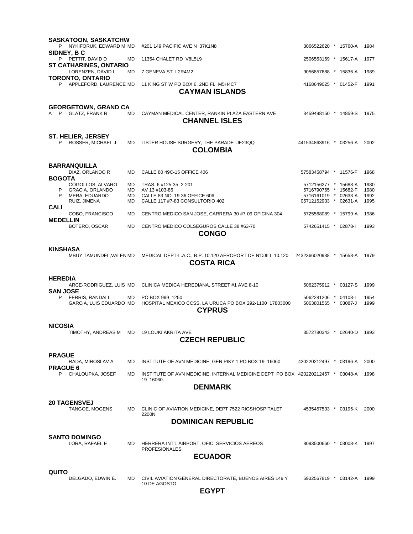|                                   | <b>SASKATOON, SASKATCHW</b>                        |                 |                                                                                             |                                               |  |  |              |  |
|-----------------------------------|----------------------------------------------------|-----------------|---------------------------------------------------------------------------------------------|-----------------------------------------------|--|--|--------------|--|
| P                                 | NYKIFORUK, EDWARD M MD<br>SIDNEY, B C              |                 | #201 149 PACIFIC AVE N 37K1N8                                                               | 3066522620 * 15760-A                          |  |  | 1984         |  |
|                                   | P PETTIT, DAVID D<br><b>ST CATHARINES, ONTARIO</b> | MD              | 11354 CHALET RD V8L5L9                                                                      | 2506563169 * 15617-A                          |  |  | 1977         |  |
|                                   | LORENZEN, DAVID I                                  | <b>MD</b>       | 7 GENEVA ST L2R4M2                                                                          | 9056857688 * 15836-A                          |  |  | 1989         |  |
| P                                 | <b>TORONTO, ONTARIO</b><br>APPLEFORD. LAURENCE MD  |                 | 11 KING ST W PO BOX 6, 2ND FL M5H4C7<br><b>CAYMAN ISLANDS</b>                               | 4168649025 * 01452-F                          |  |  | 1991         |  |
|                                   | <b>GEORGETOWN, GRAND CA</b><br>A P GLATZ, FRANK R  | <b>MD</b>       | CAYMAN MEDICAL CENTER, RANKIN PLAZA EASTERN AVE<br><b>CHANNEL ISLES</b>                     | 3459498150 * 14859-S                          |  |  | 1975         |  |
| P                                 | <b>ST. HELIER, JERSEY</b><br>ROSSER, MICHAEL J     | <b>MD</b>       | LISTER HOUSE SURGERY, THE PARADE JE23QQ<br><b>COLOMBIA</b>                                  | 441534863916 * 03256-A                        |  |  | 2002         |  |
|                                   |                                                    |                 |                                                                                             |                                               |  |  |              |  |
| <b>BOGOTA</b>                     | <b>BARRANQUILLA</b><br>DIAZ, ORLANDO R             | <b>MD</b>       | CALLE 80 49C-15 OFFICE 406                                                                  | 57583458794 * 11576-F                         |  |  | 1968         |  |
| P                                 | COGOLLOS, ALVARO<br><b>GRACIA, ORLANDO</b>         | MD<br><b>MD</b> | TRAS. 6 #125-35 2-201<br>AV 13 #103-86                                                      | 5712156277 * 15688-A<br>5716790765 * 15682-F  |  |  | 1980<br>1980 |  |
| P                                 | MERA, EDUARDO<br>RUIZ, JIMENA                      | MD<br>MD        | CALLE 83 NO. 19-36 OFFICE 606<br>CALLE 117 #7-83 CONSULTORIO 402                            | 5716161019 * 02633-A<br>05712152933 * 02631-A |  |  | 1992<br>1995 |  |
| <b>CALI</b>                       |                                                    | <b>MD</b>       |                                                                                             |                                               |  |  | 1986         |  |
| <b>MEDELLIN</b>                   | COBO, FRANCISCO                                    |                 | CENTRO MEDICO SAN JOSE, CARRERA 30 #7-09 OFICINA 304                                        | 5725568089 * 15799-A                          |  |  |              |  |
|                                   | BOTERO, OSCAR                                      | <b>MD</b>       | CENTRO MEDICO COLSEGUROS CALLE 38 #63-70<br><b>CONGO</b>                                    | 5742651415 * 02878-I                          |  |  | 1993         |  |
| KINSHASA                          | MBUY TAMUNDEL, VALEN MD                            |                 | MEDICAL DEPT-L.A.C., B.P. 10.120 AEROPORT DE N'DJILI 10.120<br><b>COSTA RICA</b>            | 2432366020938 * 15658-A                       |  |  | 1979         |  |
| <b>HEREDIA</b><br><b>SAN JOSE</b> | ARCE-RODRIGUEZ, LUIS MD                            |                 | CLINICA MEDICA HEREDIANA, STREET #1 AVE 8-10                                                | 5062375912 * 03127-S                          |  |  | 1999         |  |
| P                                 | FERRIS, RANDALL<br>GARCIA, LUIS EDUARDO MD         | MD.             | PO BOX 999 1250<br>HOSPITAL MEXICO CCSS, LA URUCA PO BOX 292-1100 17803000<br><b>CYPRUS</b> | 5062281206 * 04108-1<br>5063801565 * 03087-J  |  |  | 1954<br>1999 |  |
| <b>NICOSIA</b>                    | TIMOTHY, ANDREAS M                                 | MD              | <b>19 LOUKI AKRITA AVE</b><br><b>CZECH REPUBLIC</b>                                         | 3572780343 * 02640-D                          |  |  | 1993         |  |
| <b>PRAGUE</b>                     |                                                    |                 |                                                                                             |                                               |  |  |              |  |
| <b>PRAGUE 6</b>                   | RADA, MIROSLAV A                                   | MD              | INSTITUTE OF AVN MEDICINE, GEN PIKY 1 PO BOX 19 16060                                       | 420220212497 * 03196-A                        |  |  | 2000         |  |
| P                                 | CHALOUPKA, JOSEF                                   | MD              | INSTITUTE OF AVN MEDICINE, INTERNAL MEDICINE DEPT PO BOX 420220212457 * 03048-A<br>19 16060 |                                               |  |  | 1998         |  |
|                                   |                                                    |                 | <b>DENMARK</b>                                                                              |                                               |  |  |              |  |
|                                   | <b>20 TAGENSVEJ</b><br>TANGOE, MOGENS              | MD              | CLINIC OF AVIATION MEDICINE, DEPT 7522 RIGSHOSPITALET<br>2200N                              | 4535457533 * 03195-K                          |  |  | 2000         |  |
|                                   |                                                    |                 | <b>DOMINICAN REPUBLIC</b>                                                                   |                                               |  |  |              |  |
|                                   | <b>SANTO DOMINGO</b><br>LORA, RAFAEL E             | MD              | HERRERA INT'L AIRPORT, OFIC. SERVICIOS AEREOS                                               | 8093500660 * 03008-K                          |  |  | 1997         |  |
|                                   |                                                    |                 | <b>PROFESIONALES</b><br><b>ECUADOR</b>                                                      |                                               |  |  |              |  |
|                                   |                                                    |                 |                                                                                             |                                               |  |  |              |  |
| QUITO                             | DELGADO, EDWIN E.                                  | MD              | CIVIL AVIATION GENERAL DIRECTORATE, BUENOS AIRES 149 Y<br>10 DE AGOSTO<br><b>EGYPT</b>      | 5932567819 * 03142-A                          |  |  | 1999         |  |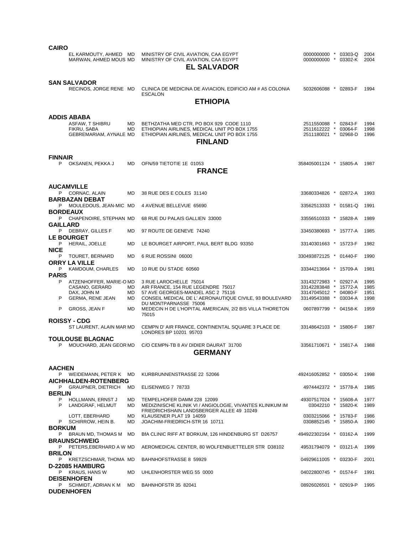| <b>CAIRO</b>                                                                                                             |                                     |                                                                                                                                                                                                                                                           |                                                                                                                          |  |                                      |
|--------------------------------------------------------------------------------------------------------------------------|-------------------------------------|-----------------------------------------------------------------------------------------------------------------------------------------------------------------------------------------------------------------------------------------------------------|--------------------------------------------------------------------------------------------------------------------------|--|--------------------------------------|
| EL KARMOUTY, AHMED MD<br>MARWAN, AHMED MOUS MD                                                                           |                                     | MINISTRY OF CIVIL AVIATION, CAA EGYPT<br>MINISTRY OF CIVIL AVIATION, CAA EGYPT<br><b>EL SALVADOR</b>                                                                                                                                                      | 0000000000 * 03303-Q<br>0000000000 * 03302-K                                                                             |  | 2004<br>2004                         |
| <b>SAN SALVADOR</b><br>RECINOS, JORGE RENE MD                                                                            |                                     | CLINICA DE MEDICINA DE AVIACION, EDIFICIO AM # A5 COLONIA<br><b>ESCALON</b><br><b>ETHIOPIA</b>                                                                                                                                                            | 5032606088 * 02893-F                                                                                                     |  | 1994                                 |
| ADDIS ABABA<br>ASFAW, T SHIBRU<br>FIKRU, SABA<br>GEBREMARIAM, AYNALE MD                                                  | MD.<br>MD                           | BETHZATHA MED CTR, PO BOX 929 CODE 1110<br>ETHIOPIAN AIRLINES, MEDICAL UNIT PO BOX 1755<br>ETHIOPIAN AIRLINES, MEDICAL UNIT PO BOX 1755<br><b>FINLAND</b>                                                                                                 | 2511550088 * 02843-F<br>2511612222 * 03064-F<br>2511180021 * 02968-D                                                     |  | 1994<br>1998<br>1996                 |
| <b>FINNAIR</b><br>P OKSANEN, PEKKA J                                                                                     | <b>MD</b>                           | OFN/59 TIETOTIE 1E 01053<br><b>FRANCE</b>                                                                                                                                                                                                                 | 358405001124 * 15805-A                                                                                                   |  | 1987                                 |
| <b>AUCAMVILLE</b><br>P CORNAC, ALAIN<br><b>BARBAZAN DEBAT</b>                                                            | MD                                  | 38 RUE DES E COLES 31140                                                                                                                                                                                                                                  | 33680334826 * 02872-A                                                                                                    |  | 1993                                 |
| P MOULEDOUS, JEAN-MIC MD                                                                                                 |                                     | 4 AVENUE BELLEVUE 65690                                                                                                                                                                                                                                   | 33562513333 * 01581-Q                                                                                                    |  | 1991                                 |
| <b>BORDEAUX</b><br>P CHAPENOIRE, STEPHAN MD                                                                              |                                     | 68 RUE DU PALAIS GALLIEN 33000                                                                                                                                                                                                                            | 33556510333 * 15828-A                                                                                                    |  | 1989                                 |
| <b>GAILLARD</b><br>P DEBRAY, GILLES F                                                                                    | MD                                  | 97 ROUTE DE GENEVE 74240                                                                                                                                                                                                                                  | 33450380693 * 15777-A                                                                                                    |  | 1985                                 |
| <b>LE BOURGET</b><br>P<br>HERAIL, JOELLE                                                                                 | MD                                  | LE BOURGET AIRPORT, PAUL BERT BLDG 93350                                                                                                                                                                                                                  | 33140301663 * 15723-F                                                                                                    |  | 1982                                 |
| <b>NICE</b><br>P TOURET, BERNARD                                                                                         | MD                                  | 6 RUE ROSSINI 06000                                                                                                                                                                                                                                       | 330493872125 * 01440-F                                                                                                   |  | 1990                                 |
| <b>ORRY LA VILLE</b><br>P.<br>KAMDOUM, CHARLES                                                                           | MD                                  | 10 RUE DU STADE 60560                                                                                                                                                                                                                                     | 33344213664 * 15709-A                                                                                                    |  | 1981                                 |
| <b>PARIS</b><br>P ATZENHOFFER, MARIE-OMD<br>CASANO, GERARD<br>DAX, JOHN M<br>P<br>GERMA, RENE JEAN<br>P<br>GROSS, JEAN F | MD.<br>MD<br><b>MD</b><br><b>MD</b> | 3 RUE LAROCHELLE 75014<br>AIR FRANCE, 154 RUE LEGENDRE 75017<br>57 AVE GEORGES-MANDEL ASC 2 75116<br>CONSEIL MEDICAL DE L'AERONAUTIQUE CIVILE, 93 BOULEVARD<br>DU MONTPARNASSE 75006<br>MEDECIN H DE L'HOPITAL AMERICAIN, 2/2 BIS VILLA THORETON<br>75015 | 33143272983 * 02927-A<br>33142283848 * 15772-A<br>33147045012 * 04080-F<br>33149543388 * 03034-A<br>0607897799 * 04158-K |  | 1995<br>1985<br>1951<br>1998<br>1959 |
| <b>ROISSY - CDG</b><br>ST LAURENT, ALAIN MAR MD                                                                          |                                     | CEMPN D' AIR FRANCE, CONTINENTAL SQUARE 3 PLACE DE<br>LONDRES BP 10201 95703                                                                                                                                                                              | 33148642103 * 15806-F                                                                                                    |  | 1987                                 |
| <b>TOULOUSE BLAGNAC</b>                                                                                                  |                                     | MOUCHARD, JEAN GEOR MD  C/O CEMPN-TB 8 AV DIDIER DAURAT 31700<br><b>GERMANY</b>                                                                                                                                                                           | 33561710671 * 15817-A 1988                                                                                               |  |                                      |
| <b>AACHEN</b>                                                                                                            |                                     |                                                                                                                                                                                                                                                           |                                                                                                                          |  |                                      |
| P WEIDEMANN, PETER K MD<br><b>AICHHALDEN-ROTENBERG</b>                                                                   |                                     | KURBRUNNENSTRASSE 22 52066                                                                                                                                                                                                                                | 492416052852 * 03050-K                                                                                                   |  | 1998                                 |
| P GRAUPNER, DIETRICH MD<br><b>BERLIN</b>                                                                                 |                                     | ELISENWEG 7 78733                                                                                                                                                                                                                                         | 4974442372 * 15778-A                                                                                                     |  | 1985                                 |
| P.<br>HOLLMANN, ERNST J<br>P.<br>LANDGRAF, HELMUT                                                                        | MD.<br>MD                           | TEMPELHOFER DAMM 228 12099<br>MEDIZINISCHE KLINIK VI / ANGIOLOGIE, VIVANTES KLINIKUM IM                                                                                                                                                                   | 49307517024 * 15608-A<br>03042210 * 15820-K                                                                              |  | 1977<br>1989                         |
| LOTT, EBERHARD<br>P SCHIRROW, HEIN B.                                                                                    | MD.<br>MD.                          | FRIEDRICHSHAIN LANDSBERGER ALLEE 49 10249<br>KLAUSENER PLAT 19 14059<br>JOACHIM-FRIEDRICH-STR 16 10711                                                                                                                                                    | 0303215066 * 15783-F<br>0308852145 * 15850-A                                                                             |  | 1986<br>1990                         |
| <b>BORKUM</b><br>P BRAUN MD, THOMAS M MD                                                                                 |                                     | BIA CLINIC RIFF AT BORKUM, 126 HINDENBURG ST D26757                                                                                                                                                                                                       | 494922302164 * 03162-A                                                                                                   |  | 1999                                 |
| <b>BRAUNSCHWEIG</b><br>P PETERS, EBERHARD A W MD                                                                         |                                     | AEROMEDICAL CENTER, 80 WOLFENBUETTELER STR D38102                                                                                                                                                                                                         | 49531794079 * 03121-A                                                                                                    |  | 1999                                 |
| <b>BRILON</b><br>P KRETZSCHMAR, THOMA MD                                                                                 |                                     | BAHNHOFSTRASSE 8 59929                                                                                                                                                                                                                                    | 04929611005 * 03230-F                                                                                                    |  | 2001                                 |
| <b>D-22085 HAMBURG</b><br>P KRAUS, HANS W                                                                                | MD.                                 | UHLENHORSTER WEG 55 0000                                                                                                                                                                                                                                  |                                                                                                                          |  | 1991                                 |
| <b>DEISENHOFEN</b>                                                                                                       |                                     |                                                                                                                                                                                                                                                           | 04022800745 * 01574-F                                                                                                    |  |                                      |
| P SCHMIDT, ADRIAN K M MD<br><b>DUDENHOFEN</b>                                                                            |                                     | BAHNHOFSTR 35 82041                                                                                                                                                                                                                                       | 08926026501 * 02919-P                                                                                                    |  | 1995                                 |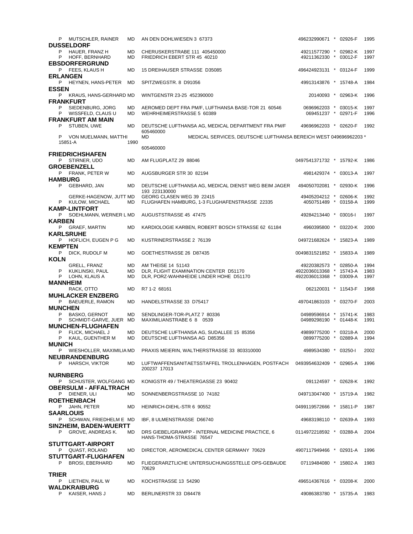| P MUTSCHLER, RAINER<br><b>DUSSELDORF</b>                            | MD                     | AN DEN DOHLWIESEN 3 67373                                                                 | 496232990671 * 02926-F                             |  | 1995         |
|---------------------------------------------------------------------|------------------------|-------------------------------------------------------------------------------------------|----------------------------------------------------|--|--------------|
| P<br>HAUER, FRANZ H<br>P<br>HOFF, BERNHARD<br><b>EBSDORFERGRUND</b> | <b>MD</b><br><b>MD</b> | CHERUSKERSTRABE 111 405450000<br>FRIEDRICH EBERT STR 45 40210                             | 49211577290 * 02982-K<br>49211362330 * 03012-F     |  | 1997<br>1997 |
| P FEES, KLAUS H                                                     | <b>MD</b>              | 15 DREIHAUSER STRASSE D35085                                                              | 496424923131 * 03124-F                             |  | 1999         |
| <b>ERLANGEN</b><br>P HEYNEN, HANS-PETER                             | MD                     | SPITZWEGSTR. 8 D91056                                                                     | 49913143876 * 15748-A                              |  | 1984         |
| <b>ESSEN</b><br>P KRAUS, HANS-GERHARD MD                            |                        | WINTGENSTR 23-25 452390000                                                                | 20140093 * 02963-K                                 |  | 1996         |
| <b>FRANKFURT</b><br>P<br>SIEDENBURG, JORG<br>P WISSFELD, CLAUS U    | MD<br><b>MD</b>        | AEROMED DEPT FRA PM/F, LUFTHANSA BASE-TOR 21 60546<br>WEHRHEIMERSTRASSE 5 60389           | 0696962203 * 03015-K<br>069451237 * 02971-F        |  | 1997<br>1996 |
| <b>FRANKFURT AM MAIN</b><br>P STUBEN, UWE                           | MD                     | DEUTSCHE LUFTHANSA AG, MEDICAL DEPARTMENT FRA PM/F                                        | 49696962203 * 02620-F                              |  | 1992         |
| P VON MUELMANN, MATTHI                                              |                        | 605460000<br>MD<br>MEDICAL SERVICES, DEUTSCHE LUFTHANSA BEREICH WEST 049696962203 *       |                                                    |  |              |
| 15851-A                                                             | 1990                   | 605460000                                                                                 |                                                    |  |              |
| <b>FRIEDRICHSHAFEN</b>                                              |                        |                                                                                           |                                                    |  |              |
| P STIRNER, UDO<br><b>GROEBENZELL</b>                                | MD                     | AM FLUGPLATZ 29 88046                                                                     | 0497541371732 * 15792-K                            |  | 1986         |
| P FRANK, PETER W                                                    | <b>MD</b>              | AUGSBURGER STR 30 82194                                                                   | 4981429374 * 03013-A                               |  | 1997         |
| <b>HAMBURG</b><br>P GEBHARD, JAN                                    | <b>MD</b>              | DEUTSCHE LUFTHANSA AG, MEDICAL DIENST WEG BEIM JAGER<br>193 223130000                     | 494050702081 * 02930-K                             |  | 1996         |
| GERKE-HAGENOW, JUTT MD<br>P KULOW, MICHAEL                          | MD                     | GEORG CLASEN WEG 39 22415<br>FLUGHAFEN HAMBURG, 1-3 FLUGHAFENSTRASSE 22335                | 49405204212 * 02606-K<br>4050751489 * 03158-A      |  | 1992<br>1999 |
| <b>KAMP-LINTFORT</b>                                                |                        |                                                                                           |                                                    |  |              |
| P SOEHLMANN, WERNER L MD<br><b>KARBEN</b>                           |                        | AUGUSTSTRASSE 45 47475                                                                    | 49284213440 * 03016-I                              |  | 1997         |
| P GRAEF, MARTIN<br><b>KARLSRUHE</b>                                 | <b>MD</b>              | KARDIOLOGIE KARBEN, ROBERT BOSCH STRASSE 62 61184                                         | 4960395800 * 03220-K                               |  | 2000         |
| P HOFLICH, EUGEN P G<br><b>KEMPTEN</b>                              | MD                     | KUSTRINERSTRASSE 2 76139                                                                  | 049721682624 * 15823-A                             |  | 1989         |
| P =<br>DICK, RUDOLF M<br><b>KOLN</b>                                | MD                     | GOETHESTRASSE 26 D87435                                                                   | 0049831521852 * 15833-A                            |  | 1989         |
| GRELL, FRANZ                                                        | MD                     | AM THEISE 14 51143                                                                        | 49220382573 * 02850-A                              |  | 1994         |
| P<br>KUKLINSKI, PAUL<br>P<br>LOHN, KLAUS A                          | MD<br><b>MD</b>        | DLR, FLIGHT EXAMINATION CENTER D51170<br>DLR, PORZ-WAHNHEIDE LINDER HOHE D51170           | 4922036013368 * 15743-A<br>4922036013368 * 03009-A |  | 1983<br>1997 |
| MANNHEIM<br>RACK, OTTO                                              | MD                     | R7 1-2 68161                                                                              | 062120031 * 11543-F                                |  | 1968         |
| <b>MUHLACKER ENZBERG</b><br>P BAEUERLE, RAMON                       | <b>MD</b>              | HANDELSTRASSE 33 D75417                                                                   | 497041863103 * 03270-F                             |  | 2003         |
| <b>MUNCHEN</b><br>P<br><b>BASKO, GERNOT</b>                         | MD                     | SENDLINGER-TOR-PLATZ 7 80336                                                              | 04989596914 * 15741-K                              |  | 1983         |
| SCHMIDT-GARVE, JUER MD<br>P<br><b>MUNCHEN-FLUGHAFEN</b>             |                        | MAXIMILIANSTRABE 6 8 0539                                                                 | 04989298190 * 01448-K                              |  | 1991         |
| P<br>FLICK, MICHAEL J<br>P<br>KAUL, GUENTHER M                      | MD<br>MD               | DEUTSCHE LUFTHANSA AG, SUDALLEE 15 85356<br>DEUTSCHE LUFTHANSA AG D85356                  | 49899775200 * 03218-A<br>0899775200 * 02889-A 1994 |  | 2000         |
| <b>MUNICH</b><br>P WIESHOLLER, MAXIMILIA MD                         |                        | PRAXIS MEIERIN, WALTHERSTRASSE 33 803310000                                               | 4989534380 * 03250-1                               |  | 2002         |
| <b>NEUBRANDENBURG</b><br>P HARSCH, VIKTOR                           | MD.                    | LUFTWAFFENSANITAETSSTAFFEL TROLLENHAGEN, POSTFACH 0493954632409 * 02965-A<br>200237 17013 |                                                    |  | 1996         |
| <b>NURNBERG</b>                                                     |                        |                                                                                           |                                                    |  |              |
| P SCHUSTER, WOLFGANG MD<br>OBERSULM - AFFALTRACH                    |                        | KONIGSTR 49 / THEATERGASSE 23 90402                                                       | 091124597 * 02628-K                                |  | 1992         |
| P DIENER, ULI<br><b>ROETHENBACH</b>                                 | <b>MD</b>              | SONNENBERGSTRASSE 10 74182                                                                | 049713047400 * 15719-A                             |  | 1982         |
| P JAHN, PETER<br>SAARLOUIS                                          | MD                     | HEINRICH-DIEHL-STR 6 90552                                                                | 0499119572666 * 15811-P                            |  | 1987         |
| P SCHWAN, FRIEDHELM E MD<br>SINZHEIM, BADEN-WUERTT                  |                        | IBF, 8 ULMENSTRASSE D66740                                                                | 49683198110 * 02639-A                              |  | 1993         |
| P GROVE, ANDREAS K.                                                 | MD                     | DRS GIEBEL/GRAMPP - INTERNAL MEDICINE PRACTICE, 6<br>HANS-THOMA-STRASSE 76547             | 0114972218592 * 03288-A                            |  | 2004         |
| <b>STUTTGART-AIRPORT</b><br>P QUAST, ROLAND                         | MD                     | DIRECTOR, AEROMEDICAL CENTER GERMANY 70629                                                | 4907117949466 * 02931-A                            |  | 1996         |
| <b>STUTTGART-FLUGHAFEN</b><br><b>BROSI, EBERHARD</b><br>P.          | MD                     | FLIEGERARZTLICHE UNTERSUCHUNGSSTELLE OPS-GEBAUDE<br>70629                                 | 07119484080 * 15802-A                              |  | 1983         |
| <b>TRIER</b>                                                        |                        |                                                                                           |                                                    |  |              |
| P LIETHEN, PAUL W<br>WALDKRAIBURG                                   | MD                     | KOCHSTRASSE 13 54290                                                                      | 496514367616 * 03208-K                             |  | 2000         |
| KAISER, HANS J<br>P.                                                | MD                     | BERLINERSTR 33 D84478                                                                     | 49086383780 * 15735-A                              |  | 1983         |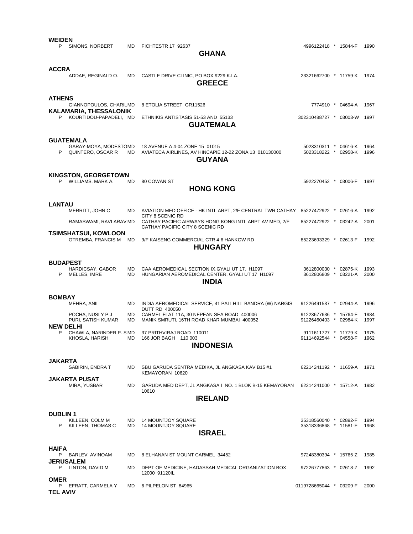| WEIDEN<br>P.     | SIMONS, NORBERT                                           | MD        | FICHTESTR 17 92637<br><b>GHANA</b>                                                                               | 4996122418 * 15844-F                           |  |         | 1990         |  |
|------------------|-----------------------------------------------------------|-----------|------------------------------------------------------------------------------------------------------------------|------------------------------------------------|--|---------|--------------|--|
| ACCRA            | ADDAE, REGINALD O.                                        | MD        | CASTLE DRIVE CLINIC, PO BOX 9229 K.I.A.<br><b>GREECE</b>                                                         | 23321662700 * 11759-K                          |  |         | 1974         |  |
| <b>ATHENS</b>    | GIANNOPOULOS, CHARILMD<br><b>KALAMARIA, THESSALONIK</b>   |           | 8 ETOLIA STREET GR11526                                                                                          | 7774910 * 04694-A                              |  |         | 1967         |  |
|                  | P KOURTIDOU-PAPADELI, MD                                  |           | ETHNIKIS ANTISTASIS 51-53 AND 55133<br><b>GUATEMALA</b>                                                          | 302310488727 * 03003-W                         |  |         | 1997         |  |
|                  |                                                           |           |                                                                                                                  |                                                |  |         |              |  |
|                  | GUATEMALA<br>GARAY-MOYA, MODESTOMD<br>P QUINTERO, OSCAR R | MD.       | 18 AVENUE A 4-04 ZONE 15 01015<br>AVIATECA AIRLINES, AV HINCAPIE 12-22 ZONA 13 010130000<br><b>GUYANA</b>        | 5023310311 * 04616-K<br>5023318222 * 02958-K   |  |         | 1964<br>1996 |  |
|                  | <b>KINGSTON, GEORGETOWN</b><br>P WILLIAMS, MARK A.        | MD        | 80 COWAN ST                                                                                                      | 5922270452 * 03006-F                           |  |         | 1997         |  |
|                  |                                                           |           | <b>HONG KONG</b>                                                                                                 |                                                |  |         |              |  |
|                  |                                                           |           |                                                                                                                  |                                                |  |         |              |  |
| LANTAU           | MERRITT, JOHN C                                           | MD        | AVIATION MED OFFICE - HK INTL ARPT, 2/F CENTRAL TWR CATHAY 85227472922 * 02616-A<br>CITY 8 SCENIC RD             |                                                |  |         | 1992         |  |
|                  | RAMASWAMI, RAVI ARAV MD                                   |           | CATHAY PACIFIC AIRWAYS-HONG KONG INTL ARPT AV MED, 2/F                                                           | 85227472922 * 03242-A                          |  |         | 2001         |  |
|                  | <b>TSIMSHATSUI, KOWLOON</b>                               |           | CATHAY PACIFIC CITY 8 SCENIC RD                                                                                  |                                                |  |         |              |  |
|                  | OTREMBA, FRANCIS M MD                                     |           | 9/F KAISENG COMMERCIAL CTR 4-6 HANKOW RD<br><b>HUNGARY</b>                                                       | 85223693329 * 02613-F                          |  |         | 1992         |  |
| <b>BUDAPEST</b>  |                                                           |           |                                                                                                                  |                                                |  |         |              |  |
|                  | HARDICSAY, GABOR<br>P MELLES, IMRE                        | MD<br>MD. | CAA AEROMEDICAL SECTION IX.GYALI UT 17. H1097<br>HUNGARIAN AEROMEDICAL CENTER, GYALI UT 17 H1097<br><b>INDIA</b> | 3612800030 * 02875-K<br>3612806809 * 03221-A   |  |         | 1993<br>2000 |  |
|                  |                                                           |           |                                                                                                                  |                                                |  |         |              |  |
| <b>BOMBAY</b>    |                                                           |           |                                                                                                                  |                                                |  |         |              |  |
|                  | MEHRA, ANIL                                               | MD.       | INDIA AEROMEDICAL SERVICE, 41 PALI HILL BANDRA (W) NARGIS<br><b>DUTT RD 400050</b>                               | 91226491537 * 02944-A                          |  |         | 1996         |  |
|                  | POCHA, NUSLY P J<br>PURI, SATISH KUMAR                    | MD<br>MD  | CARMEL FLAT 11A, 30 NEPEAN SEA ROAD 400006<br>MANIK SMRUTI, 16TH ROAD KHAR MUMBAI 400052                         | 91223677636 * 15764-F<br>91226460403 *         |  | 02984-K | 1984<br>1997 |  |
| NEW DELHI<br>P   | CHAWLA, NARINDER P. SMD<br>KHOSLA, HARISH                 | MD        | 37 PRITHVIRAJ ROAD 110011<br>166 JOR BAGH 110 003                                                                | 9111611727 * 11779-K<br>91114692544 * 04558-F  |  |         | 1975<br>1962 |  |
|                  |                                                           |           | <b>INDONESIA</b>                                                                                                 |                                                |  |         |              |  |
|                  |                                                           |           |                                                                                                                  |                                                |  |         |              |  |
| JAKARTA          | SABIRIN, ENDRA T                                          | MD        | SBU GARUDA SENTRA MEDIKA, JL ANGKASA KAV B15 #1<br>KEMAYORAN 10620                                               | 62214241192 * 11659-A                          |  |         | 1971         |  |
|                  | JAKARTA PUSAT                                             |           |                                                                                                                  |                                                |  |         |              |  |
|                  | MIRA, YUSBAR                                              | MD.       | GARUDA MED DEPT, JL ANGKASA I NO. 1 BLOK B-15 KEMAYORAN<br>10610                                                 | 62214241000 * 15712-A                          |  |         | 1982         |  |
|                  |                                                           |           | <b>IRELAND</b>                                                                                                   |                                                |  |         |              |  |
|                  |                                                           |           |                                                                                                                  |                                                |  |         |              |  |
| <b>DUBLIN1</b>   |                                                           |           |                                                                                                                  |                                                |  |         |              |  |
| P                | KILLEEN, COLM M<br>KILLEEN, THOMAS C                      | MD<br>MD. | <b>14 MOUNTJOY SQUARE</b><br><b>14 MOUNTJOY SQUARE</b>                                                           | 35318560040 * 02892-F<br>35318336868 * 11581-F |  |         | 1994<br>1968 |  |
|                  |                                                           |           | <b>ISRAEL</b>                                                                                                    |                                                |  |         |              |  |
|                  |                                                           |           |                                                                                                                  |                                                |  |         |              |  |
| HAIFA            |                                                           |           |                                                                                                                  |                                                |  |         |              |  |
|                  | P BARLEV, AVINOAM<br><b>JERUSALEM</b>                     | MD        | 8 ELHANAN ST MOUNT CARMEL 34452                                                                                  | 97248380394 * 15765-Z                          |  |         | 1985         |  |
|                  | P LINTON, DAVID M                                         | MD        | DEPT OF MEDICINE, HADASSAH MEDICAL ORGANIZATION BOX<br>12000 91120IL                                             | 97226777863 * 02618-Z                          |  |         | 1992         |  |
| OMER<br>TEL AVIV | P EFRATT, CARMELA Y                                       | MD        | 6 PILPELON ST 84965                                                                                              | 0119728665044 * 03209-F                        |  |         | 2000         |  |
|                  |                                                           |           |                                                                                                                  |                                                |  |         |              |  |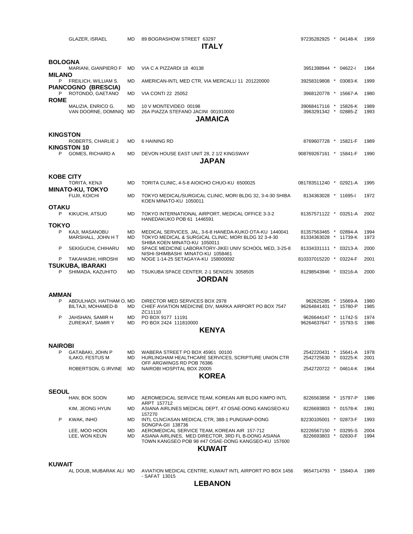GLAZER, ISRAEL MD 89 BOGRASHOW STREET 63297 97235282925 \* 04148-K 1959

### **ITALY**

| BOLOGNA                                       |                  |                                                                                                                                                                             |                                                |  |              |
|-----------------------------------------------|------------------|-----------------------------------------------------------------------------------------------------------------------------------------------------------------------------|------------------------------------------------|--|--------------|
| MARIANI, GIANPIERO F<br><b>MILANO</b>         | MD.              | VIA C A PIZZARDI 18 40138                                                                                                                                                   | 3951398944 * 04622-I                           |  | 1964         |
| P FREILICH, WILLIAM S.<br>PIANCOGNO (BRESCIA) | MD               | AMERICAN-INTL MED CTR, VIA MERCALLI 11 201220000                                                                                                                            | 39258319808 * 03083-K                          |  | 1999         |
| ROTONDO, GAETANO<br>P.<br><b>ROME</b>         | MD               | VIA CONTI 22 25052                                                                                                                                                          | 3968120778 * 15667-A                           |  | 1980         |
| MALIZIA, ENRICO G.<br>VAN DOORNE, DOMINIQ MD  | <b>MD</b>        | 10 V MONTEVIDEO 00198<br>26A PIAZZA STEFANO JACINI 001910000<br><b>JAMAICA</b>                                                                                              | 39068417116 * 15826-K<br>3963291342 * 02885-Z  |  | 1989<br>1993 |
| <b>KINGSTON</b>                               |                  |                                                                                                                                                                             |                                                |  |              |
| ROBERTS, CHARLIE J<br><b>KINGSTON 10</b>      | <b>MD</b>        | 6 HAINING RD                                                                                                                                                                | 8769607728 * 15821-F                           |  | 1989         |
| P<br>GOMES, RICHARD A                         | <b>MD</b>        | DEVON HOUSE EAST UNIT 28, 2 1/2 KINGSWAY<br><b>JAPAN</b>                                                                                                                    | 908769267161 * 15841-F                         |  | 1990         |
| <b>KOBE CITY</b>                              |                  |                                                                                                                                                                             |                                                |  |              |
| TORITA, KENJI<br><b>MINATO-KU, TOKYO</b>      | <b>MD</b>        | TORITA CLINIC, 4-5-8 AIOICHO CHUO-KU 6500025                                                                                                                                | 081783511240 * 02921-A                         |  | 1995         |
| FUJII, KOICHI<br>OTAKU                        | MD               | TOKYO MEDICAL/SURGICAL CLINIC, MORI BLDG 32, 3-4-30 SHIBA<br>KOEN MINATO-KU 1050011                                                                                         | 8134363028 * 11695-1                           |  | 1972         |
| P<br>KIKUCHI, ATSUO                           | MD               | TOKYO INTERNATIONAL AIRPORT, MEDICAL OFFICE 3-3-2<br>HANEDAKUKO POB 61 1446591                                                                                              | 81357571122 * 03251-A                          |  | 2002         |
| ΤΟΚΥΟ                                         |                  |                                                                                                                                                                             |                                                |  |              |
| P<br>KAJI, MASANOBU<br>MARSHALL, JOHN H T     | <b>MD</b><br>MD. | MEDICAL SERVICES, JAL, 3-6-8 HANEDA-KUKO OTA-KU 1440041<br>TOKYO MEDICAL & SURGICAL CLINIC, MORI BLDG 32 3-4-30<br>SHIBA KOEN MINATO-KU 1050011                             | 81357563465 * 02894-A<br>81334363028 * 11739-K |  | 1994<br>1973 |
| P<br>SEKIGUCHI, CHIHARU                       | MD               | SPACE MEDICINE LABORATORY-JIKEI UNIV SCHOOL MED, 3-25-8<br>NISHI-SHIMBASHI MINATO-KU 1058461                                                                                | 81334331111 * 03213-A                          |  | 2000         |
| P<br>TAKAHASHI, HIROSHI<br>TSUKUBA, IBARAKI   | MD               | NOGE 1-14-25 SETAGAYA-KU 158000092                                                                                                                                          | 810337015220 * 03224-F                         |  | 2001         |
| P<br>SHIMADA, KAZUHITO                        | <b>MD</b>        | TSUKUBA SPACE CENTER, 2-1 SENGEN 3058505<br><b>JORDAN</b>                                                                                                                   | 81298543946 * 03216-A                          |  | 2000         |
|                                               |                  |                                                                                                                                                                             |                                                |  |              |
| AMMAN<br>P<br>ABDULHADI, HAITHAM O. MD        |                  | DIRECTOR MED SERVICES BOX 2978                                                                                                                                              | 962625285 * 15669-A                            |  | 1980         |
| BILTAJI, MOHAMED-B                            | MD.              | CHIEF AVIATION MEDICINE DIV, MARKA AIRPORT PO BOX 7547<br>ZC11110                                                                                                           | 96264841401 * 15780-P                          |  | 1985         |
| P<br>JAHSHAN, SAMIR H<br>ZUREIKAT, SAMIR Y    | MD.<br>MD        | PO BOX 9177 11191<br>PO BOX 2424 111810000                                                                                                                                  | 9626644147 * 11742-S<br>96264637647 * 15793-S  |  | 1974<br>1986 |
|                                               |                  | <b>KENYA</b>                                                                                                                                                                |                                                |  |              |
| <b>NAIROBI</b>                                |                  |                                                                                                                                                                             |                                                |  |              |
| P<br>GATABAKI, JOHN P<br>ILAKO, FESTUS M      | MD.<br>MD        | WABERA STREET PO BOX 45901 00100<br>HURLINGHAM HEALTHCARE SERVICES, SCRIPTURE UNION CTR<br>OFF ARGWINGS RD POB 76386                                                        | 2542220431 * 15641-A<br>2542725630 * 03225-K   |  | 1978<br>2001 |
| ROBERTSON, G IRVINE MD                        |                  | NAIROBI HOSPITAL BOX 20005<br><b>KOREA</b>                                                                                                                                  | 2542720722 * 04614-K                           |  | 1964         |
|                                               |                  |                                                                                                                                                                             |                                                |  |              |
| <b>SEOUL</b>                                  |                  |                                                                                                                                                                             |                                                |  |              |
| HAN, BOK SOON                                 | MD               | AEROMEDICAL SERVICE TEAM, KOREAN AIR BLDG KIMPO INTL<br>ARPT 157712                                                                                                         | 8226563858 * 15797-P                           |  | 1986         |
| KIM, JEONG HYUN                               | MD               | ASIANA AIRLINES MEDICAL DEPT, 47 OSAE-DONG KANGSEO-KU<br>157270                                                                                                             | 8226693803 * 01578-K                           |  | 1991         |
| P<br>KWAK, INHO                               | MD               | INTL CLNC/ASAN MEDICAL CTR, 388-1 PUNGNAP-DONG<br>SONGPA-GII 138736                                                                                                         | 82230105001 * 02873-F                          |  | 1993         |
| LEE, MOO HOON<br>LEE, WON KEUN                | MD<br>MD         | AEROMEDICAL SERVICE TEAM, KOREAN AIR 157-712<br>ASIANA AIRLINES, MED DIRECTOR, 3RD FL B-DONG ASIANA<br>TOWN KANGSEO POB 98 #47 OSAE-DONG KANGSEO-KU 157600<br><b>KUWAIT</b> | 82226567150 * 03295-S<br>8226693803 * 02830-F  |  | 2004<br>1994 |
|                                               |                  |                                                                                                                                                                             |                                                |  |              |

### **KUWAIT**

AL DOUB, MUBARAK ALI MD AVIATION MEDICAL CENTRE, KUWAIT INTL AIRPORT PO BOX 1456 9654714793 \* 15840-A 1989 - SAFAT 13015

**LEBANON**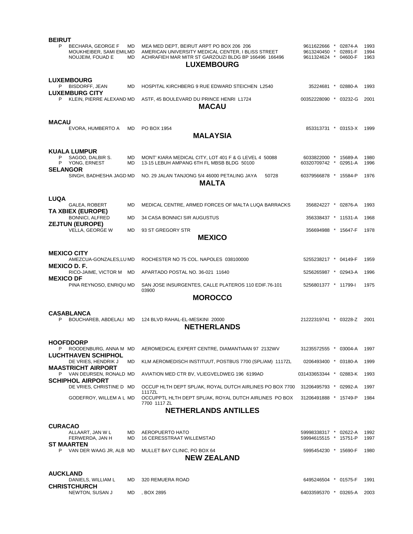| <b>BEIRUT</b>                                                         |                        |                                                                                                                                                                             |                                                            |         |                      |
|-----------------------------------------------------------------------|------------------------|-----------------------------------------------------------------------------------------------------------------------------------------------------------------------------|------------------------------------------------------------|---------|----------------------|
| P<br>BECHARA, GEORGE F<br>MOUKHEIBER, SAMI EMILMD<br>NOUJEIM, FOUAD E | MD.<br>MD.             | MEA MED DEPT, BEIRUT ARPT PO BOX 206 206<br>AMERICAN UNIVERSITY MEDICAL CENTER. I BLISS STREET<br>ACHRAFIEH MAR MITR ST GARZOUZI BLDG BP 166496 166496<br><b>LUXEMBOURG</b> | 9611622666<br>9613240450 * 02891-F<br>9611324624 * 04600-F | 02874-A | 1993<br>1994<br>1963 |
|                                                                       |                        |                                                                                                                                                                             |                                                            |         |                      |
| <b>LUXEMBOURG</b><br>P BISDORFF, JEAN                                 | <b>MD</b>              | HOSPITAL KIRCHBERG 9 RUE EDWARD STEICHEN L2540                                                                                                                              | 35224681 * 02880-A                                         |         | 1993                 |
| <b>LUXEMBURG CITY</b><br>KLEIN, PIERRE ALEXAND MD<br>P                |                        | ASTF, 45 BOULEVARD DU PRINCE HENRI L1724<br><b>MACAU</b>                                                                                                                    | 00352228090 * 03232-G                                      |         | 2001                 |
|                                                                       |                        |                                                                                                                                                                             |                                                            |         |                      |
| <b>MACAU</b><br>EVORA, HUMBERTO A                                     | MD                     | PO BOX 1954<br><b>MALAYSIA</b>                                                                                                                                              | 853313731 * 03153-X                                        |         | 1999                 |
|                                                                       |                        |                                                                                                                                                                             |                                                            |         |                      |
| <b>KUALA LUMPUR</b><br>SAGOO, DALBIR S.<br>P<br>P YONG, ERNEST        | <b>MD</b><br><b>MD</b> | MONT' KIARA MEDICAL CITY, LOT 401 F & G LEVEL 4 50088<br>13-15 LEBUH AMPANG 6TH FL MBSB BLDG 50100                                                                          | 6033822000 * 15689-A<br>60320709742 * 02951-A              |         | 1980<br>1996         |
| <b>SELANGOR</b><br>SINGH, BADHESHA JAGD MD                            |                        | NO. 29 JALAN TANJONG 5/4 46000 PETALING JAYA<br>50728<br><b>MALTA</b>                                                                                                       | 60379566878 * 15584-P                                      |         | 1976                 |
|                                                                       |                        |                                                                                                                                                                             |                                                            |         |                      |
| <b>LUQA</b><br>GALEA, ROBERT<br>TA XBIEX (EUROPE)                     | <b>MD</b>              | MEDICAL CENTRE, ARMED FORCES OF MALTA LUQA BARRACKS                                                                                                                         | 356824227 * 02876-A                                        |         | 1993                 |
| <b>BONNICI, ALFRED</b><br><b>ZEJTUN (EUROPE)</b>                      | <b>MD</b>              | <b>34 CASA BONNICI SIR AUGUSTUS</b>                                                                                                                                         | 356338437 * 11531-A                                        |         | 1968                 |
| VELLA, GEORGE W                                                       | <b>MD</b>              | 93 ST GREGORY STR<br><b>MEXICO</b>                                                                                                                                          | 356694988 * 15647-F                                        |         | 1978                 |
|                                                                       |                        |                                                                                                                                                                             |                                                            |         |                      |
| <b>MEXICO CITY</b><br>AMEZCUA-GONZALES, LU MD                         |                        | ROCHESTER NO 75 COL. NAPOLES 038100000                                                                                                                                      | 5255238217 * 04149-F                                       |         | 1959                 |
| MEXICO D. F.<br>RICO-JAIME, VICTOR M MD                               |                        | APARTADO POSTAL NO. 36-021 11640                                                                                                                                            | 5256265987 * 02943-A                                       |         | 1996                 |
| <b>MEXICO DF</b><br>PINA REYNOSO, ENRIQU MD                           |                        | SAN JOSE INSURGENTES, CALLE PLATEROS 110 EDIF.76-101                                                                                                                        | 5256801377 * 11799-1                                       |         | 1975                 |
|                                                                       |                        | 03900<br><b>MOROCCO</b>                                                                                                                                                     |                                                            |         |                      |
|                                                                       |                        |                                                                                                                                                                             |                                                            |         |                      |
| <b>CASABLANCA</b><br>BOUCHAREB, ABDELALI MD<br>P                      |                        | 124 BLVD RAHAL-EL-MESKINI 20000<br><b>NETHERLANDS</b>                                                                                                                       | 21222319741 * 03228-Z                                      |         | 2001                 |
| <b>HOOFDDORP</b>                                                      |                        |                                                                                                                                                                             |                                                            |         |                      |
| P.<br>ROODENBURG, ANNA M MD<br><b>LUCHTHAVEN SCHIPHOL</b>             |                        | AEROMEDICAL EXPERT CENTRE, DIAMANTIAAN 97 2132WV                                                                                                                            | 31235572555 * 03004-A                                      |         | 1997                 |
| DE VRIES, HENDRIK J<br><b>MAASTRICHT AIRPORT</b>                      | MD                     | KLM AEROMEDISCH INSTITUUT, POSTBUS 7700 (SPL/AM) 1117ZL                                                                                                                     | 0206493400 * 03180-A                                       |         | 1999                 |
| P VAN DEURSEN, RONALD MD<br><b>SCHIPHOL AIRPORT</b>                   |                        | AVIATION MED CTR BV, VLIEGVELDWEG 196 6199AD                                                                                                                                | 031433653344 * 02883-K                                     |         | 1993                 |
| DE VRIES, CHRISTINE D MD                                              |                        | OCCUP HLTH DEPT SPL/AK, ROYAL DUTCH AIRLINES PO BOX 7700<br>1117ZL                                                                                                          | 31206495793 * 02992-A                                      |         | 1997                 |
| GODEFROY, WILLEM A L MD                                               |                        | OCCUPPTL HLTH DEPT SPL/AK, ROYAL DUTCH AIRLINES PO BOX<br>7700 1117 ZL                                                                                                      | 31206491888 * 15749-P                                      |         | 1984                 |
|                                                                       |                        | <b>NETHERLANDS ANTILLES</b>                                                                                                                                                 |                                                            |         |                      |
| <b>CURACAO</b>                                                        |                        |                                                                                                                                                                             |                                                            |         |                      |
| ALLAART, JAN W L<br>FERWERDA, JAN H<br><b>ST MAARTEN</b>              | MD<br>MD               | AEROPUERTO HATO<br><b>16 CERESSTRAAT WILLEMSTAD</b>                                                                                                                         | 59998338317 * 02622-A<br>59994615515 * 15751-P             |         | 1992<br>1997         |
| P VAN DER WAAG JR, ALB MD                                             |                        | MULLET BAY CLINIC, PO BOX 64<br><b>NEW ZEALAND</b>                                                                                                                          | 5995454230 * 15690-F                                       |         | 1980                 |
|                                                                       |                        |                                                                                                                                                                             |                                                            |         |                      |
| <b>AUCKLAND</b><br>DANIELS, WILLIAM L                                 | MD                     | 320 REMUERA ROAD                                                                                                                                                            | 6495246504 * 01575-F                                       |         | 1991                 |
| <b>CHRISTCHURCH</b><br>NEWTON, SUSAN J                                | MD                     | , BOX 2895                                                                                                                                                                  | 64033595370 * 03265-A                                      |         | 2003                 |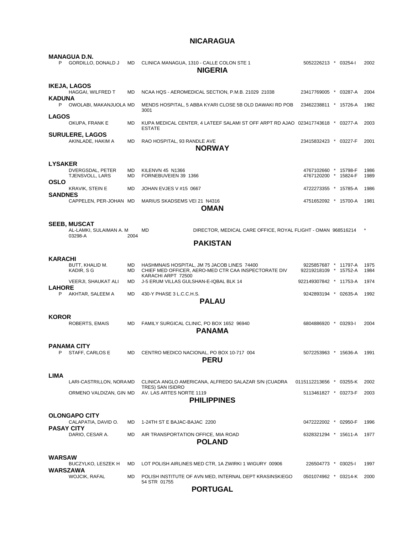## **NICARAGUA**

|                   | <b>MANAGUA D.N.</b><br>GORDILLO, DONALD J                 | MD        | CLINICA MANAGUA, 1310 - CALLE COLON STE 1<br><b>NIGERIA</b>                                                               | 5052226213 * 03254-1                          |  | 2002         |
|-------------------|-----------------------------------------------------------|-----------|---------------------------------------------------------------------------------------------------------------------------|-----------------------------------------------|--|--------------|
|                   | <b>IKEJA, LAGOS</b>                                       |           |                                                                                                                           |                                               |  |              |
|                   | HAGGAI, WILFRED T                                         | <b>MD</b> | NCAA HQS - AEROMEDICAL SECTION, P.M.B. 21029 21038                                                                        | 23417769005 * 03287-A                         |  | 2004         |
| <b>KADUNA</b>     | P OWOLABI, MAKANJUOLA MD                                  |           | MENDS HOSPITAL, 5 ABBA KYARI CLOSE 5B OLD DAWAKI RD POB<br>3001                                                           | 23462238811 * 15726-A                         |  | 1982         |
| <b>LAGOS</b>      | OKUPA, FRANK E                                            | MD        | KUPA MEDICAL CENTER, 4 LATEEF SALAMI ST OFF ARPT RD AJAO 023417743618 * 03277-A<br><b>ESTATE</b>                          |                                               |  | 2003         |
|                   | <b>SURULERE, LAGOS</b><br>AKINLADE, HAKIM A               | MD        | RAO HOSPITAL, 93 RANDLE AVE<br><b>NORWAY</b>                                                                              | 23415832423 * 03227-F                         |  | 2001         |
|                   |                                                           |           |                                                                                                                           |                                               |  |              |
| <b>LYSAKER</b>    |                                                           |           |                                                                                                                           |                                               |  |              |
|                   | DVERGSDAL, PETER<br>TJENSVOLL, LARS                       | MD<br>MD  | <b>KILENVN 45 N1366</b><br>FORNEBUVEIEN 39 1366                                                                           | 4767102660 * 15798-F<br>4767120200 * 15824-F  |  | 1986<br>1989 |
| <b>OSLO</b>       | KRAVIK, STEIN E                                           | MD        | JOHAN EVJES V #15 0667                                                                                                    | 4722273355 * 15785-A                          |  | 1986         |
| <b>SANDNES</b>    | CAPPELEN, PER-JOHAN MD                                    |           | MARIUS SKADSEMS VEI 21 N4316                                                                                              | 4751652092 * 15700-A                          |  | 1981         |
|                   |                                                           |           | OMAN                                                                                                                      |                                               |  |              |
|                   |                                                           |           |                                                                                                                           |                                               |  |              |
|                   | <b>SEEB, MUSCAT</b><br>AL-LAMKI, SULAIMAN A. M<br>03298-A | 2004      | MD<br>DIRECTOR, MEDICAL CARE OFFICE, ROYAL FLIGHT - OMAN 968516214                                                        |                                               |  |              |
|                   |                                                           |           | <b>PAKISTAN</b>                                                                                                           |                                               |  |              |
|                   |                                                           |           |                                                                                                                           |                                               |  |              |
| KARACHI           |                                                           |           |                                                                                                                           |                                               |  |              |
|                   | BUTT, KHALID M.<br>KADIR, S G                             | МD<br>MD. | HASHMNAIS HOSPITAL, JM 75 JACOB LINES 74400<br>CHIEF MED OFFICER, AERO-MED CTR CAA INSPECTORATE DIV<br>KARACHI ARPT 72500 | 9225857687 * 11797-A<br>92219218109 * 15752-A |  | 1975<br>1984 |
| <b>LAHORE</b>     | VEERJI, SHAUKAT ALI                                       | <b>MD</b> | J-5 ERUM VILLAS GULSHAN-E-IQBAL BLK 14                                                                                    | 922149307842 * 11753-A                        |  | 1974         |
| P                 | AKHTAR, SALEEM A                                          | <b>MD</b> | 430-Y PHASE 3 L.C.C.H.S.                                                                                                  | 9242893194 * 02635-A                          |  | 1992         |
|                   |                                                           |           | <b>PALAU</b>                                                                                                              |                                               |  |              |
| <b>KOROR</b>      |                                                           |           |                                                                                                                           |                                               |  |              |
|                   | ROBERTS, EMAIS                                            | <b>MD</b> | FAMILY SURGICAL CLINIC, PO BOX 1652 96940<br><b>PANAMA</b>                                                                | 6804886920 * 03293-I                          |  | 2004         |
|                   |                                                           |           |                                                                                                                           |                                               |  |              |
|                   | <b>PANAMA CITY</b><br>STAFF, CARLOS E                     |           | MD CENTRO MEDICO NACIONAL, PO BOX 10-717 004<br><b>PERU</b>                                                               | 5072253963 * 15636-A 1991                     |  |              |
|                   |                                                           |           |                                                                                                                           |                                               |  |              |
| <b>LIMA</b>       | LARI-CASTRILLON, NORAMD                                   |           | CLINICA ANGLO AMERICANA, ALFREDO SALAZAR S/N (CUADRA                                                                      | 0115112213656 * 03255-K                       |  | 2002         |
|                   | ORMENO VALDIZAN, GIN MD                                   |           | TRES) SAN ISIDRO<br>AV. LAS ARTES NORTE 1119                                                                              | 5113461827 * 03273-F                          |  | 2003         |
|                   |                                                           |           | <b>PHILIPPINES</b>                                                                                                        |                                               |  |              |
|                   | <b>OLONGAPO CITY</b>                                      |           |                                                                                                                           |                                               |  |              |
| <b>PASAY CITY</b> | CALAPATIA, DAVID O.                                       | MD        | 1-24TH ST E BAJAC-BAJAC 2200                                                                                              | 0472222002 * 02950-F                          |  | 1996         |
|                   | DARIO, CESAR A.                                           | MD        | AIR TRANSPORTATION OFFICE, MIA ROAD<br><b>POLAND</b>                                                                      | 6328321294 * 15611-A                          |  | 1977         |
|                   |                                                           |           |                                                                                                                           |                                               |  |              |
| WARSAW            |                                                           |           |                                                                                                                           |                                               |  |              |
| WARSZAWA          | BUCZYLKO, LESZEK H                                        | MD        | LOT POLISH AIRLINES MED CTR, 1A ZWIRKI 1 WIGURY 00906                                                                     | 226504773 * 03025-1                           |  | 1997         |
|                   | <b>WOJCIK, RAFAL</b>                                      | MD        | POLISH INSTITUTE OF AVN MED, INTERNAL DEPT KRASINSKIEGO<br>54 STR 01755                                                   | 0501074962 * 03214-K                          |  | 2000         |
|                   |                                                           |           | <b>PORTUGAL</b>                                                                                                           |                                               |  |              |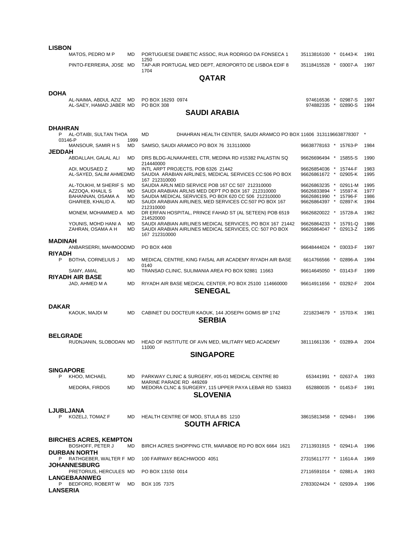### **LISBON**

MATOS, PEDRO M P MD PORTUGUESE DIABETIC ASSOC, RUA RODRIGO DA FONSECA 1 35113816100 \* 01443-K 1991  $1250$ PINTO-FERREIRA, JOSE MD TAP-AIR PORTUGAL MED DEPT, AEROPORTO DE LISBOA EDIF 8 35118415528 \* 03007-A 1997 1704

**QATAR** 

### **DOHA**

| AL-NAIMA, ABDUL AZIZ MD PO BOX 16293 0974<br>AL-SAEY. HAMAD JABER MD PO BOX 308 |  | 974616536 * 02987-S 1997<br>, * 02890-S<br>974882335 | 1994 |  |  |  |  |
|---------------------------------------------------------------------------------|--|------------------------------------------------------|------|--|--|--|--|
| <b>SAUDI ARABIA</b>                                                             |  |                                                      |      |  |  |  |  |

### **DHAHRAN**

| P                | AL-OTAIBI, SULTAN THOA                                   |            | MD                                      | DHAHRAN HEALTH CENTER, SAUDI ARAMCO PO BOX 11606 3131196638778307 |                       |         |      |
|------------------|----------------------------------------------------------|------------|-----------------------------------------|-------------------------------------------------------------------|-----------------------|---------|------|
|                  | 03146-P<br>MANSOUR, SAMIR H S                            | 1999<br>MD | SAMSO, SAUDI ARAMCO PO BOX 76 313110000 |                                                                   | 96638778163 * 15763-P |         | 1984 |
| <b>JEDDAH</b>    |                                                          |            |                                         |                                                                   |                       |         |      |
|                  | ABDALLAH, GALAL ALI                                      | MD         | 214440000                               | DRS BLDG-ALNAKAHEEL CTR, MEDINA RD #15382 PALASTIN SQ             | 96626696494 * 15855-S |         | 1990 |
|                  | ADI, MOUSAED Z                                           | MD         | INTL ARPT PROJECTS, POB 6326 21442      |                                                                   | 96626854036 * 15744-F |         | 1983 |
|                  | AL-SAYED, SALIM AHMEDMD                                  |            |                                         | SAUDIA ARABIAN AIRLINES, MEDICAL SERVICES CC:506 PO BOX           | 96626861672 *         | 02905-K | 1995 |
|                  | AL-TOUKHI, M SHERIF S MD                                 |            | 167 212310000                           | SAUDIA ARLN MED SERVICE POB 167 CC 507 212310000                  | 96626863235 *         | 02911-M | 1995 |
|                  | AZZOQA, KHALIL S                                         | MD         |                                         | SAUDI ARABIAN ARLNS MED DEPT PO BOX 167 212310000                 | 96626833894 *         | 15597-K | 1977 |
|                  | BAHANNAN, OSAMA A                                        | MD         |                                         | SAUDIA MEDICAL SERVICES, PO BOX 620 CC 506 212310000              | 96626861990 * 15796-F |         | 1986 |
|                  | GHARIEB, KHALID A.                                       | MD         | 212310000                               | SAUDI ARABIAN AIRLINES, MED SERVICES CC:507 PO BOX 167            | 96626864397 * 02897-K |         | 1994 |
|                  | MONEM, MOHAMMED A                                        | MD         | 214520000                               | DR ERFAN HOSPITAL, PRINCE FAHAD ST (AL SETEEN) POB 6519           | 96626820022 * 15728-A |         | 1982 |
|                  | YOUNIS, MOHD HANI A                                      | MD         |                                         | SAUDI ARABIAN AIRLINES MEDICAL SERVICES, PO BOX 167 21442         | 96626864233 * 15791-Q |         | 1986 |
|                  | ZAHRAN, OSAMA A H                                        | MD         | 167 212310000                           | SAUDI ARABIAN AIRLINES MEDICAL SERVICES, CC: 507 PO BOX           | 96626864047 *         | 02913-Z | 1995 |
| <b>MADINAH</b>   |                                                          |            |                                         |                                                                   |                       |         |      |
|                  | ANBARSERRI, MAHMOODMD                                    |            | PO BOX 4408                             |                                                                   | 96648444024 * 03033-F |         | 1997 |
| <b>RIYADH</b>    |                                                          |            |                                         |                                                                   |                       |         |      |
| P                | BOTHA, CORNELIUS J                                       | MD         | 0140                                    | MEDICAL CENTRE, KING FAISAL AIR ACADEMY RIYADH AIR BASE           | 6614766566 * 02896-A  |         | 1994 |
|                  | SAMY, AMAL<br><b>RIYADH AIR BASE</b>                     | MD         |                                         | TRANSAD CLINIC, SULIMANIA AREA PO BOX 92881 11663                 | 96614645050 * 03143-F |         | 1999 |
|                  | JAD, AHMED M A                                           | MD         |                                         | RIYADH AIR BASE MEDICAL CENTER, PO BOX 25100 114660000            | 96614911656 * 03292-F |         | 2004 |
|                  |                                                          |            |                                         | <b>SENEGAL</b>                                                    |                       |         |      |
|                  |                                                          |            |                                         |                                                                   |                       |         |      |
| <b>DAKAR</b>     |                                                          |            |                                         |                                                                   |                       |         |      |
|                  | KAOUK, MAJDI M                                           | <b>MD</b>  |                                         | CABINET DU DOCTEUR KAOUK, 144 JOSEPH GOMIS BP 1742                | 2218234679 * 15703-K  |         | 1981 |
|                  |                                                          |            |                                         | <b>SERBIA</b>                                                     |                       |         |      |
|                  |                                                          |            |                                         |                                                                   |                       |         |      |
| <b>BELGRADE</b>  |                                                          |            |                                         |                                                                   |                       |         |      |
|                  | RUDNJANIN, SLOBODAN MD                                   |            |                                         | HEAD OF INSTITUTE OF AVN MED, MILITARY MED ACADEMY                | 38111661336 * 03289-A |         | 2004 |
|                  |                                                          |            | 11000                                   |                                                                   |                       |         |      |
|                  |                                                          |            |                                         | <b>SINGAPORE</b>                                                  |                       |         |      |
|                  |                                                          |            |                                         |                                                                   |                       |         |      |
| <b>SINGAPORE</b> |                                                          |            |                                         |                                                                   |                       |         |      |
| P                | KHOO, MICHAEL                                            | <b>MD</b>  |                                         | PARKWAY CLINIC & SURGERY, #05-01 MEDICAL CENTRE 80                | 653441991 * 02637-A   |         | 1993 |
|                  | MEDORA, FIRDOS                                           | <b>MD</b>  | MARINE PARADE RD 449269                 | MEDORA CLNC & SURGERY, 115 UPPER PAYA LEBAR RD 534833             | 652880035 * 01453-F   |         | 1991 |
|                  |                                                          |            |                                         | <b>SLOVENIA</b>                                                   |                       |         |      |
|                  |                                                          |            |                                         |                                                                   |                       |         |      |
| <b>LJUBLJANA</b> |                                                          |            |                                         |                                                                   |                       |         |      |
| P                | KOZELJ, TOMAZ F                                          | <b>MD</b>  | HEALTH CENTRE OF MOD, STULA BS 1210     |                                                                   | 38615813458 * 02948-I |         | 1996 |
|                  |                                                          |            |                                         | <b>SOUTH AFRICA</b>                                               |                       |         |      |
|                  |                                                          |            |                                         |                                                                   |                       |         |      |
|                  |                                                          |            |                                         |                                                                   |                       |         |      |
|                  | <b>BIRCHES ACRES, KEMPTON</b><br><b>BOSHOFF, PETER J</b> | MD         |                                         | BIRCH ACRES SHOPPING CTR, MARABOE RD PO BOX 6664 1621             | 27113931915 * 02941-A |         | 1996 |
|                  | <b>DURBAN NORTH</b>                                      |            |                                         |                                                                   |                       |         |      |
|                  | P RATHGEBER, WALTER F MD                                 |            | 100 FAIRWAY BEACHWOOD 4051              |                                                                   | 27315611777 * 11614-A |         | 1969 |
|                  | <b>JOHANNESBURG</b>                                      |            |                                         |                                                                   |                       |         |      |
|                  | PRETORIUS, HERCULES MD                                   |            | PO BOX 13150 0014                       |                                                                   | 27116591014 * 02881-A |         | 1993 |
|                  | <b>LANGEBAANWEG</b>                                      |            |                                         |                                                                   |                       |         |      |
|                  | P BEDFORD, ROBERT W                                      | MD         | BOX 105 7375                            |                                                                   | 27833024424 * 02939-A |         | 1996 |
| <b>LANSERIA</b>  |                                                          |            |                                         |                                                                   |                       |         |      |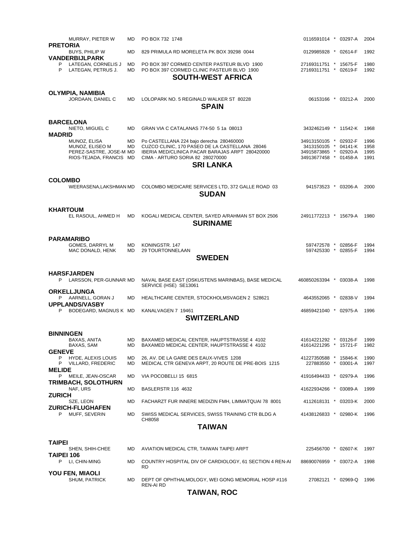| MURRAY, PIETER W<br><b>PRETORIA</b>                                                   | МD               | PO BOX 732 1748                                                                                                                                                                                       | 0116591014 * 03297-A                                                                            |  |  | 2004                         |  |  |  |
|---------------------------------------------------------------------------------------|------------------|-------------------------------------------------------------------------------------------------------------------------------------------------------------------------------------------------------|-------------------------------------------------------------------------------------------------|--|--|------------------------------|--|--|--|
| <b>BUYS, PHILIP W</b><br><b>VANDERBIJLPARK</b>                                        | <b>MD</b>        | 829 PRIMULA RD MORELETA PK BOX 39298 0044                                                                                                                                                             | 0129985928 * 02614-F                                                                            |  |  | 1992                         |  |  |  |
| LATEGAN, CORNELIS J<br>P<br>P<br>LATEGAN, PETRUS J.                                   | MD<br>MD.        | PO BOX 397 CORMED CENTER PASTEUR BLVD 1900<br>PO BOX 397 CORMED CLINIC PASTEUR BLVD 1900<br><b>SOUTH-WEST AFRICA</b>                                                                                  | 27169311751 * 15675-F<br>27169311751 * 02619-F                                                  |  |  | 1980<br>1992                 |  |  |  |
| OLYMPIA, NAMIBIA<br>JORDAAN, DANIEL C                                                 | <b>MD</b>        | LOLOPARK NO. 5 REGINALD WALKER ST 80228<br><b>SPAIN</b>                                                                                                                                               | 06153166 * 03212-A                                                                              |  |  | 2000                         |  |  |  |
| <b>BARCELONA</b><br>NIETO, MIGUEL C<br><b>MADRID</b>                                  | <b>MD</b>        | GRAN VIA C CATALANAS 774-50 5 1a 08013                                                                                                                                                                | 3432462149 * 11542-K                                                                            |  |  | 1968                         |  |  |  |
| MUNOZ, ELISA<br>MUNOZ, ELISEO M<br>PEREZ-SASTRE, JOSE-M MD<br>RIOS-TEJADA, FRANCIS MD | MD<br>MD         | Po CASTELLANA 224 bajo derecha 280460000<br>CUZCO CLINIC, 170 PASEO DE LA CASTELLANA 28046<br>IBERIA MED/CLINICA PACAR BARAJAS ARPT 280420000<br>CIMA - ARTURO SORIA 82 280270000<br><b>SRI LANKA</b> | 34913150105 * 02932-F<br>3413150105 * 04141-K<br>34915873865 * 02920-A<br>34913677458 * 01458-A |  |  | 1996<br>1958<br>1995<br>1991 |  |  |  |
| <b>COLOMBO</b><br>WEERASENA, LAKSHMAN MD                                              |                  | COLOMBO MEDICARE SERVICES LTD, 372 GALLE ROAD 03<br><b>SUDAN</b>                                                                                                                                      | 941573523 * 03206-A                                                                             |  |  | 2000                         |  |  |  |
| <b>KHARTOUM</b><br>EL RASOUL, AHMED H                                                 | <b>MD</b>        | KOGALI MEDICAL CENTER, SAYED A/RAHMAN ST BOX 2506<br><b>SURINAME</b>                                                                                                                                  | 24911772213 * 15679-A                                                                           |  |  | 1980                         |  |  |  |
| <b>PARAMARIBO</b><br>GOMES, DARRYL M<br>MAC DONALD, HENK                              | <b>MD</b><br>MD. | KONINGSTR. 147<br>29 TOURTONNELAAN<br><b>SWEDEN</b>                                                                                                                                                   | 597472578 * 02856-F<br>597425330 * 02855-F                                                      |  |  | 1994<br>1994                 |  |  |  |
| <b>HARSFJARDEN</b><br>LARSSON, PER-GUNNAR MD<br>P                                     |                  | NAVAL BASE EAST (OSKUSTENS MARINBAS), BASE MEDICAL<br>SERVICE (HSE) SE13061                                                                                                                           | 460850263394 * 03038-A                                                                          |  |  | 1998                         |  |  |  |
| <b>ORKELLJUNGA</b><br>P AARNELL, GORAN J                                              | <b>MD</b>        | HEALTHCARE CENTER, STOCKHOLMSVAGEN 2 S28621                                                                                                                                                           | 4643552065 * 02838-V                                                                            |  |  | 1994                         |  |  |  |
| <b>UPPLANDS/VASBY</b><br>P BODEGARD, MAGNUS K MD                                      |                  | KANALVAGEN 7 19461<br><b>SWITZERLAND</b>                                                                                                                                                              | 46859421040 * 02975-A                                                                           |  |  | 1996                         |  |  |  |
| <b>BINNINGEN</b>                                                                      |                  |                                                                                                                                                                                                       |                                                                                                 |  |  |                              |  |  |  |
| BAXAS, ANITA<br>BAXAS, SAM                                                            | MD<br>MD         | BAXAMED MEDICAL CENTER, HAUPTSTRASSE 4 4102<br>BAXAMED MEDICAL CENTER, HAUPTSTRASSE 4 4102                                                                                                            | 41614221292 * 03126-F 1999<br>41614221295 * 15721-F                                             |  |  | 1982                         |  |  |  |
| <b>GENEVE</b><br>P.<br>HYDE, ALEXIS LOUIS<br>P VILLARD, FREDERIC                      | МD<br>MD.        | 26, AV. DE LA GARE DES EAUX-VIVES 1208<br>MEDICAL CTR GENEVA ARPT, 20 ROUTE DE PRE-BOIS 1215                                                                                                          | 41227350588 * 15846-K<br>227883550 * 03001-A                                                    |  |  | 1990<br>1997                 |  |  |  |
| <b>MELIDE</b><br>P MEILE, JEAN-OSCAR                                                  | MD.              | VIA POCOBELLI 15 6815                                                                                                                                                                                 | 41916494433 * 02979-A                                                                           |  |  | 1996                         |  |  |  |
| <b>TRIMBACH, SOLOTHURN</b><br>NAF, URS                                                | MD               | <b>BASLERSTR 116 4632</b>                                                                                                                                                                             | 41622934266 * 03089-A                                                                           |  |  | 1999                         |  |  |  |
| <b>ZURICH</b><br>SZE, LEON                                                            | МD               | FACHARZT FUR INNERE MEDIZIN FMH, LIMMATQUAI 78 8001                                                                                                                                                   | 4112618131 * 03203-K                                                                            |  |  | 2000                         |  |  |  |
| <b>ZURICH-FLUGHAFEN</b><br>P MUFF, SEVERIN                                            | MD.              | SWISS MEDICAL SERVICES, SWISS TRAINING CTR BLDG A                                                                                                                                                     | 41438126833 * 02980-K                                                                           |  |  | 1996                         |  |  |  |
| CH8058<br><b>TAIWAN</b>                                                               |                  |                                                                                                                                                                                                       |                                                                                                 |  |  |                              |  |  |  |
|                                                                                       |                  |                                                                                                                                                                                                       |                                                                                                 |  |  |                              |  |  |  |
| TAIPEI<br>SHEN, SHIH-CHEE<br>TAIPEI 106                                               | MD               | AVIATION MEDICAL CTR, TAIWAN TAIPEI ARPT                                                                                                                                                              | 225456700 * 02607-K                                                                             |  |  | 1997                         |  |  |  |
| P<br>LI, CHIN-MING                                                                    | MD               | COUNTRY HOSPITAL DIV OF CARDIOLOGY, 61 SECTION 4 REN-AI<br>RD                                                                                                                                         | 88690076959 * 03072-A                                                                           |  |  | 1998                         |  |  |  |
| <b>YOU FEN, MIAOLI</b><br>SHUM, PATRICK                                               | MD               | DEPT OF OPHTHALMOLOGY, WEI GONG MEMORIAL HOSP #116                                                                                                                                                    | 27082121 * 02969-Q                                                                              |  |  | 1996                         |  |  |  |

**TAIWAN, ROC** 

REN-AI RD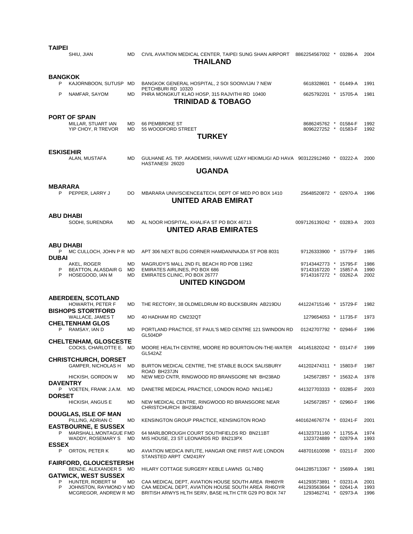| TAIPEI                   | SHIU, JIAN                                                                             | <b>MD</b>              | CIVIL AVIATION MEDICAL CENTER, TAIPEI SUNG SHAN AIRPORT 8862254567002 *<br><b>THAILAND</b>                                                                        |                                                                         | 03286-A                             | 2004                 |
|--------------------------|----------------------------------------------------------------------------------------|------------------------|-------------------------------------------------------------------------------------------------------------------------------------------------------------------|-------------------------------------------------------------------------|-------------------------------------|----------------------|
| <b>BANGKOK</b><br>P<br>P | KAJORNBOON, SUTUSP MD<br>NAMFAR, SAYOM                                                 | <b>MD</b>              | BANGKOK GENERAL HOSPITAL, 2 SOI SOONVIJAI 7 NEW<br>PETCHBURI RD 10320<br>PHRA MONGKUT KLAO HOSP, 315 RAJVITHI RD 10400<br><b>TRINIDAD &amp; TOBAGO</b>            | 6618328601 * 01449-A<br>6625792201 * 15705-A                            |                                     | 1991<br>1981         |
|                          | <b>PORT OF SPAIN</b><br>MILLAR, STUART IAN<br>YIP CHOY, R TREVOR                       | <b>MD</b><br><b>MD</b> | 66 PEMBROKE ST<br>55 WOODFORD STREET<br><b>TURKEY</b>                                                                                                             | 8686245762 * 01584-F<br>8096227252 * 01583-F                            |                                     | 1992<br>1992         |
| <b>ESKISEHIR</b>         | ALAN, MUSTAFA                                                                          | <b>MD</b>              | GULHANE AS. TIP. AKADEMISI, HAVAVE UZAY HEKIMLIGI AD HAVA 903122912460 * 03222-A<br>HASTANESI 26020<br><b>UGANDA</b>                                              |                                                                         |                                     | 2000                 |
| <b>MBARARA</b><br>P      | PEPPER, LARRY J                                                                        | DO                     | MBARARA UNIV/SCIENCE&TECH, DEPT OF MED PO BOX 1410<br>UNITED ARAB EMIRAT                                                                                          | 25648520872 * 02970-A                                                   |                                     | 1996                 |
| <b>ABU DHABI</b>         | SODHI, SURENDRA                                                                        | <b>MD</b>              | AL NOOR HOSPITAL, KHALIFA ST PO BOX 46713<br><b>UNITED ARAB EMIRATES</b>                                                                                          | 0097126139242 * 03283-A                                                 |                                     | 2003                 |
| ABU DHABI<br>P           | MC CULLOCH, JOHN P R MD                                                                |                        | APT 306 NEXT BLDG CORNER HAMDAN/NAJDA ST POB 8031                                                                                                                 | 97126333900 * 15779-F                                                   |                                     | 1985                 |
| <b>DUBAI</b><br>P<br>P   | AKEL, ROGER<br>BEATTON, ALASDAIR G MD<br>HOSEGOOD, IAN M                               | MD<br><b>MD</b>        | MAGRUDY'S MALL 2ND FL BEACH RD POB 11962<br>EMIRATES AIRLINES, PO BOX 686<br>EMIRATES CLINIC, PO BOX 26777<br><b>UNITED KINGDOM</b>                               | 97143442773 * 15795-F<br>97143167220 * 15857-A<br>97143167272 * 03262-A |                                     | 1986<br>1990<br>2002 |
|                          | <b>ABERDEEN, SCOTLAND</b><br>HOWARTH, PETER F                                          | MD                     | THE RECTORY, 38 OLDMELDRUM RD BUCKSBURN AB219DU                                                                                                                   | 441224715146 * 15729-F                                                  |                                     | 1982                 |
|                          | <b>BISHOPS STORTFORD</b><br>WALLACE, JAMES T                                           | MD                     | 40 HADHAM RD CM232QT                                                                                                                                              | 1279654053 * 11735-F                                                    |                                     | 1973                 |
| P                        | <b>CHELTENHAM GLOS</b><br>RAMSAY, IAN D                                                | <b>MD</b>              | PORTLAND PRACTICE, ST PAUL'S MED CENTRE 121 SWINDON RD                                                                                                            | 01242707792 * 02946-F                                                   |                                     | 1996                 |
|                          | <b>CHELTENHAM, GLOSCESTE</b><br>COCKS, CHARLOTTE E. MD                                 |                        | GL504DP<br>MOORE HEALTH CENTRE, MOORE RD BOURTON-ON-THE-WATER 441451820242 * 03147-F<br>GL542AZ                                                                   |                                                                         |                                     | 1999                 |
|                          | <b>CHRISTCHURCH, DORSET</b><br>GAMPER, NICHOLAS H                                      | MD                     | BURTON MEDICAL CENTRE, THE STABLE BLOCK SALISBURY                                                                                                                 | 441202474311 * 15803-F                                                  |                                     | 1987                 |
| <b>DAVENTRY</b>          | HICKISH, GORDON W                                                                      | MD                     | ROAD BH237JN<br>NEW MED CNTR, RINGWOOD RD BRANSGORE NR BH238AD                                                                                                    | 1425672857 * 15632-A                                                    |                                     | 1978                 |
| <b>DORSET</b>            | P VOETEN, FRANK J.A.M.                                                                 | MD                     | DANETRE MEDICAL PRACTICE, LONDON ROAD NN114EJ                                                                                                                     | 441327703333 * 03285-F                                                  |                                     | 2003                 |
|                          | HICKISH, ANGUS E                                                                       | MD                     | NEW MEDICAL CENTRE, RINGWOOD RD BRANSGORE NEAR<br>CHRISTCHURCH BH238AD                                                                                            | 1425672857 * 02960-F                                                    |                                     | 1996                 |
|                          | <b>DOUGLAS, ISLE OF MAN</b><br>PILLING, ADRIAN C                                       | MD                     | KENSINGTON GROUP PRACTICE, KENSINGTON ROAD                                                                                                                        | 4401624676774 * 03241-F                                                 |                                     | 2001                 |
| P                        | <b>EASTBOURNE. E SUSSEX</b><br>MARSHALL, MONTAGUE FMD<br>WADDY, ROSEMARY S             | MD                     | 64 MARLBOROUGH COURT SOUTHFIELDS RD BN211BT<br>MIS HOUSE, 23 ST LEONARDS RD BN213PX                                                                               | 441323731160 * 11755-A<br>1323724889 * 02879-A                          |                                     | 1974<br>1993         |
| <b>ESSEX</b><br>P        | ORTON, PETER K                                                                         | MD                     | AVIATION MEDICA INFLITE, HANGAR ONE FIRST AVE LONDON<br>STANSTED ARPT CM241RY                                                                                     | 448701610098 * 03211-F                                                  |                                     | 2000                 |
|                          | <b>FAIRFORD, GLOUCESTERSH</b><br>BENZIE, ALEXANDER S MD<br><b>GATWICK, WEST SUSSEX</b> |                        | HILARY COTTAGE SURGERY KEBLE LAWNS GL74BQ                                                                                                                         | 0441285713367 * 15699-A                                                 |                                     | 1981                 |
| P<br>P                   | HUNTER, ROBERT M<br>JOHNSTON, RAYMOND V MD<br>MCGREGOR, ANDREW R MD                    | MD                     | CAA MEDICAL DEPT, AVIATION HOUSE SOUTH AREA RH60YR<br>CAA MEDICAL DEPT, AVIATION HOUSE SOUTH AREA RH6OYR<br>BRITISH ARWYS HLTH SERV, BASE HLTH CTR G29 PO BOX 747 | 441293573891<br>441293563664 *<br>1293462741                            | * 03231-A<br>02641-A<br>$*$ 02973-A | 2001<br>1993<br>1996 |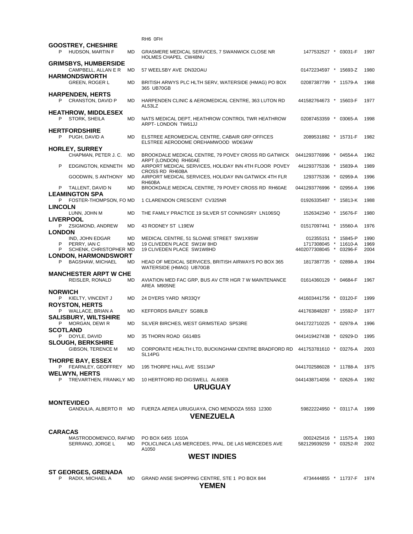|                                                      |           | RNO UFN                                                                              |                                                 |  |  |              |  |  |  |  |
|------------------------------------------------------|-----------|--------------------------------------------------------------------------------------|-------------------------------------------------|--|--|--------------|--|--|--|--|
| <b>GOOSTREY, CHESHIRE</b><br>P HUDSON, MARTIN F      | <b>MD</b> | GRASMERE MEDICAL SERVICES, 7 SWANWICK CLOSE NR<br>HOLMES CHAPEL CW48NU               | 1477532527 * 03031-F                            |  |  | 1997         |  |  |  |  |
| <b>GRIMSBYS, HUMBERSIDE</b><br>CAMPBELL, ALLAN E R   | MD        | 57 WEELSBY AVE DN32OAU                                                               | 01472234597 * 15693-Z                           |  |  | 1980         |  |  |  |  |
| <b>HARMONDSWORTH</b><br><b>GREEN, ROGER L</b>        | MD        | BRITISH ARWYS PLC HLTH SERV, WATERSIDE (HMAG) PO BOX                                 | 02087387799 * 11579-A                           |  |  | 1968         |  |  |  |  |
| <b>HARPENDEN, HERTS</b>                              |           | 365 UB70GB                                                                           |                                                 |  |  |              |  |  |  |  |
| P CRANSTON, DAVID P<br><b>HEATHROW, MIDDLESEX</b>    | MD        | HARPENDEN CLINIC & AEROMEDICAL CENTRE, 363 LUTON RD<br>AL53LZ                        | 441582764673 * 15603-F                          |  |  | 1977         |  |  |  |  |
| P.<br>STORK, SHEILA                                  | <b>MD</b> | NATS MEDICAL DEPT, HEATHROW CONTROL TWR HEATHROW<br>ARPT-LONDON TW61JJ               | 02087453359 * 03065-A                           |  |  | 1998         |  |  |  |  |
| <b>HERTFORDSHIRE</b><br>PUGH, DAVID A                | <b>MD</b> | ELSTREE AEROMEDICAL CENTRE, CABAIR GRP OFFICES<br>ELSTREE AERODOME OREHAMWOOD WD63AW | 2089531882 * 15731-F                            |  |  | 1982         |  |  |  |  |
| <b>HORLEY, SURREY</b>                                |           |                                                                                      |                                                 |  |  |              |  |  |  |  |
| CHAPMAN, PETER J. C.                                 | MD        | BROOKDALE MEDICAL CENTRE, 79 POVEY CROSS RD GATWICK<br>ARPT (LONDON) RH60AE          | 0441293776996 * 04554-A                         |  |  | 1962         |  |  |  |  |
| P<br>EDGINGTON, KENNETH MD                           |           | AIRPORT MEDICAL SERVICES, HOLIDAY INN 4TH FLOOR POVEY<br><b>CROSS RD RH60BA</b>      | 441293775336 * 15839-A                          |  |  | 1989         |  |  |  |  |
| GOODWIN, S ANTHONY                                   | MD        | AIRPORT MEDICAL SERVICES, HOLIDAY INN GATWICK 4TH FLR<br>RH60BA                      | 1293775336 * 02959-A                            |  |  | 1996         |  |  |  |  |
| P TALLENT, DAVID N<br><b>LEAMINGTON SPA</b>          | MD        | BROOKDALE MEDICAL CENTRE, 79 POVEY CROSS RD RH60AE                                   | 0441293776996 * 02956-A                         |  |  | 1996         |  |  |  |  |
| P FOSTER-THOMPSON, FO MD<br><b>LINCOLN</b>           |           | 1 CLARENDON CRESCENT CV325NR                                                         | 01926335487 * 15813-K                           |  |  | 1988         |  |  |  |  |
| LUNN, JOHN M<br><b>LIVERPOOL</b>                     | MD        | THE FAMILY PRACTICE 19 SILVER ST CONINGSRY LN106SQ                                   | 1526342340 * 15676-F                            |  |  | 1980         |  |  |  |  |
| P ZSIGMOND, ANDREW<br><b>LONDON</b>                  | MD        | 43 RODNEY ST L19EW                                                                   | 01517097441 * 15560-A                           |  |  | 1976         |  |  |  |  |
| IND, JOHN EDGAR                                      | MD        | MEDICAL CENTRE, 51 SLOANE STREET SW1X9SW                                             | 012355151 * 15845-P                             |  |  | 1990         |  |  |  |  |
| P<br>PERRY, IAN C<br>SCHENK, CHRISTOPHER MD<br>P.    | <b>MD</b> | 19 CLIVEDEN PLACE SW1W 8HD<br>19 CLIVEDEN PLACE SW1W8HD                              | 1717308045 * 11610-A<br>4402077308045 * 03296-F |  |  | 1969<br>2004 |  |  |  |  |
| <b>LONDON, HARMONDSWORT</b>                          |           |                                                                                      |                                                 |  |  |              |  |  |  |  |
| P.<br><b>BAGSHAW, MICHAEL</b>                        | MD        | HEAD OF MEDICAL SERVICES, BRITISH AIRWAYS PO BOX 365<br>WATERSIDE (HMAG) UB70GB      | 1817387735 * 02898-A                            |  |  | 1994         |  |  |  |  |
| <b>MANCHESTER ARPT W CHE</b><br>REISLER, RONALD      | MD.       | AVIATION MED FAC GRP, BUS AV CTR HGR 7 W MAINTENANCE<br>AREA M905NE                  | 01614360129 * 04684-F                           |  |  | 1967         |  |  |  |  |
| <b>NORWICH</b>                                       |           |                                                                                      |                                                 |  |  |              |  |  |  |  |
| P KIELTY, VINCENT J<br><b>ROYSTON, HERTS</b>         | MD        | 24 DYERS YARD NR33QY                                                                 | 441603441756 * 03120-F                          |  |  | 1999         |  |  |  |  |
| P WALLACE, BRIAN A<br><b>SALISBURY, WILTSHIRE</b>    | MD        | KEFFORDS BARLEY SG88LB                                                               | 441763848287 * 15592-P                          |  |  | 1977         |  |  |  |  |
| P MORGAN, DEWIR<br><b>SCOTLAND</b>                   | MD        | SILVER BIRCHES, WEST GRIMSTEAD SP53RE                                                | 0441722710225 * 02978-A                         |  |  | 1996         |  |  |  |  |
| P DOYLE, DAVID<br><b>SLOUGH, BERKSHIRE</b>           | <b>MD</b> | 35 THORN ROAD G614BS                                                                 | 0441419427438 * 02929-D                         |  |  | 1995         |  |  |  |  |
| GIBSON, TERENCE M                                    | MD        | CORPORATE HEALTH LTD, BUCKINGHAM CENTRE BRADFORD RD 441753781610 * 03276-A<br>SL14PG |                                                 |  |  | 2003         |  |  |  |  |
| <b>THORPE BAY, ESSEX</b><br>P FEARNLEY, GEOFFREY MD  |           | 195 THORPE HALL AVE SS13AP                                                           | 0441702586028 * 11788-A                         |  |  | 1975         |  |  |  |  |
| <b>WELWYN, HERTS</b><br>P TREVARTHEN, FRANKLY MD     |           | 10 HERTFORD RD DIGSWELL AL60EB<br><b>URUGUAY</b>                                     | 0441438714056 * 02626-A                         |  |  | 1992         |  |  |  |  |
|                                                      |           |                                                                                      |                                                 |  |  |              |  |  |  |  |
| <b>MONTEVIDEO</b>                                    |           |                                                                                      |                                                 |  |  |              |  |  |  |  |
| GANDULIA, ALBERTO R MD                               |           | FUERZA AEREA URUGUAYA, CNO MENDOZA 5553 12300<br><b>VENEZUELA</b>                    | 59822224950 * 03117-A                           |  |  | 1999         |  |  |  |  |
|                                                      |           |                                                                                      |                                                 |  |  |              |  |  |  |  |
| <b>CARACAS</b><br>MASTRODOMENICO, RAFMD              |           | PO BOX 6455 1010A                                                                    | 0002425416 * 11575-A                            |  |  | 1993         |  |  |  |  |
| SERRANO, JORGE L                                     | MD        | POLICLINICA LAS MERCEDES, PPAL. DE LAS MERCEDES AVE<br>A1050                         | 582129939259 * 03252-R                          |  |  | 2002         |  |  |  |  |
| <b>WEST INDIES</b>                                   |           |                                                                                      |                                                 |  |  |              |  |  |  |  |
|                                                      |           |                                                                                      |                                                 |  |  |              |  |  |  |  |
| <b>ST GEORGES, GRENADA</b><br>RADIX, MICHAEL A<br>P. | MD        | GRAND ANSE SHOPPING CENTRE, STE 1 PO BOX 844<br><b>YEMEN</b>                         | 4734444855 * 11737-F 1974                       |  |  |              |  |  |  |  |

RH6 0FH